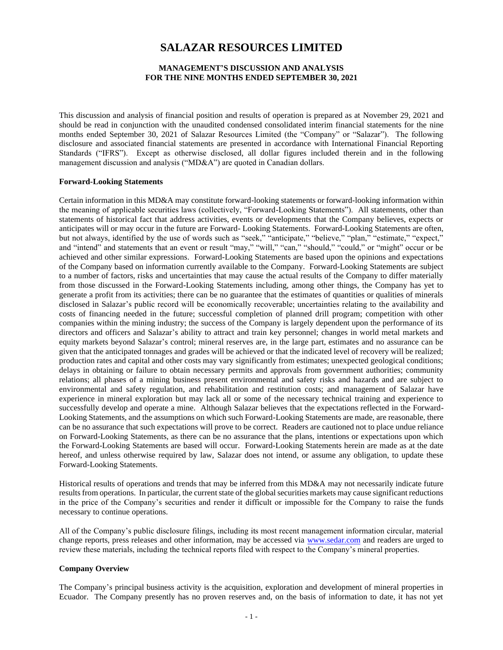# **SALAZAR RESOURCES LIMITED**

# **MANAGEMENT'S DISCUSSION AND ANALYSIS FOR THE NINE MONTHS ENDED SEPTEMBER 30, 2021**

This discussion and analysis of financial position and results of operation is prepared as at November 29, 2021 and should be read in conjunction with the unaudited condensed consolidated interim financial statements for the nine months ended September 30, 2021 of Salazar Resources Limited (the "Company" or "Salazar"). The following disclosure and associated financial statements are presented in accordance with International Financial Reporting Standards ("IFRS"). Except as otherwise disclosed, all dollar figures included therein and in the following management discussion and analysis ("MD&A") are quoted in Canadian dollars.

#### **Forward-Looking Statements**

Certain information in this MD&A may constitute forward-looking statements or forward-looking information within the meaning of applicable securities laws (collectively, "Forward-Looking Statements"). All statements, other than statements of historical fact that address activities, events or developments that the Company believes, expects or anticipates will or may occur in the future are Forward- Looking Statements. Forward-Looking Statements are often, but not always, identified by the use of words such as "seek," "anticipate," "believe," "plan," "estimate," "expect," and "intend" and statements that an event or result "may," "will," "can," "should," "could," or "might" occur or be achieved and other similar expressions. Forward-Looking Statements are based upon the opinions and expectations of the Company based on information currently available to the Company. Forward-Looking Statements are subject to a number of factors, risks and uncertainties that may cause the actual results of the Company to differ materially from those discussed in the Forward-Looking Statements including, among other things, the Company has yet to generate a profit from its activities; there can be no guarantee that the estimates of quantities or qualities of minerals disclosed in Salazar's public record will be economically recoverable; uncertainties relating to the availability and costs of financing needed in the future; successful completion of planned drill program; competition with other companies within the mining industry; the success of the Company is largely dependent upon the performance of its directors and officers and Salazar's ability to attract and train key personnel; changes in world metal markets and equity markets beyond Salazar's control; mineral reserves are, in the large part, estimates and no assurance can be given that the anticipated tonnages and grades will be achieved or that the indicated level of recovery will be realized; production rates and capital and other costs may vary significantly from estimates; unexpected geological conditions; delays in obtaining or failure to obtain necessary permits and approvals from government authorities; community relations; all phases of a mining business present environmental and safety risks and hazards and are subject to environmental and safety regulation, and rehabilitation and restitution costs; and management of Salazar have experience in mineral exploration but may lack all or some of the necessary technical training and experience to successfully develop and operate a mine. Although Salazar believes that the expectations reflected in the Forward-Looking Statements, and the assumptions on which such Forward-Looking Statements are made, are reasonable, there can be no assurance that such expectations will prove to be correct. Readers are cautioned not to place undue reliance on Forward-Looking Statements, as there can be no assurance that the plans, intentions or expectations upon which the Forward-Looking Statements are based will occur. Forward-Looking Statements herein are made as at the date hereof, and unless otherwise required by law, Salazar does not intend, or assume any obligation, to update these Forward-Looking Statements.

Historical results of operations and trends that may be inferred from this MD&A may not necessarily indicate future results from operations. In particular, the current state of the global securities markets may cause significant reductions in the price of the Company's securities and render it difficult or impossible for the Company to raise the funds necessary to continue operations.

All of the Company's public disclosure filings, including its most recent management information circular, material change reports, press releases and other information, may be accessed via [www.sedar.com](http://www.sedar.com/) and readers are urged to review these materials, including the technical reports filed with respect to the Company's mineral properties.

#### **Company Overview**

The Company's principal business activity is the acquisition, exploration and development of mineral properties in Ecuador. The Company presently has no proven reserves and, on the basis of information to date, it has not yet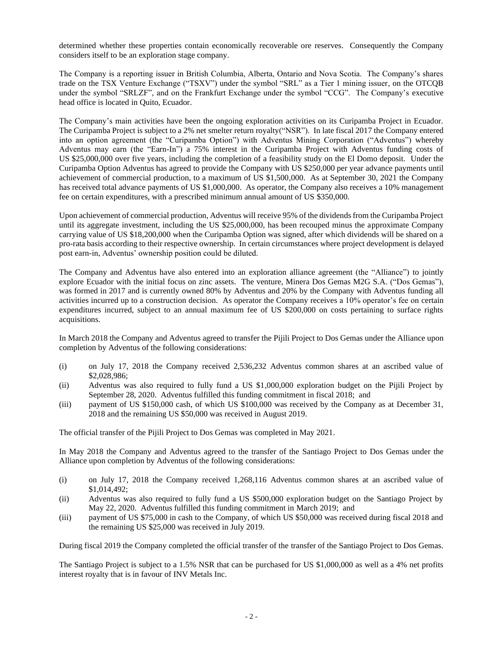determined whether these properties contain economically recoverable ore reserves. Consequently the Company considers itself to be an exploration stage company.

The Company is a reporting issuer in British Columbia, Alberta, Ontario and Nova Scotia. The Company's shares trade on the TSX Venture Exchange ("TSXV") under the symbol "SRL" as a Tier 1 mining issuer, on the OTCQB under the symbol "SRLZF", and on the Frankfurt Exchange under the symbol "CCG". The Company's executive head office is located in Quito, Ecuador.

The Company's main activities have been the ongoing exploration activities on its Curipamba Project in Ecuador. The Curipamba Project is subject to a 2% net smelter return royalty("NSR"). In late fiscal 2017 the Company entered into an option agreement (the "Curipamba Option") with Adventus Mining Corporation ("Adventus") whereby Adventus may earn (the "Earn-In") a 75% interest in the Curipamba Project with Adventus funding costs of US \$25,000,000 over five years, including the completion of a feasibility study on the El Domo deposit. Under the Curipamba Option Adventus has agreed to provide the Company with US \$250,000 per year advance payments until achievement of commercial production, to a maximum of US \$1,500,000. As at September 30, 2021 the Company has received total advance payments of US \$1,000,000. As operator, the Company also receives a 10% management fee on certain expenditures, with a prescribed minimum annual amount of US \$350,000.

Upon achievement of commercial production, Adventus will receive 95% of the dividends from the Curipamba Project until its aggregate investment, including the US \$25,000,000, has been recouped minus the approximate Company carrying value of US \$18,200,000 when the Curipamba Option was signed, after which dividends will be shared on a pro-rata basis according to their respective ownership. In certain circumstances where project development is delayed post earn-in, Adventus' ownership position could be diluted.

The Company and Adventus have also entered into an exploration alliance agreement (the "Alliance") to jointly explore Ecuador with the initial focus on zinc assets. The venture, Minera Dos Gemas M2G S.A. ("Dos Gemas"), was formed in 2017 and is currently owned 80% by Adventus and 20% by the Company with Adventus funding all activities incurred up to a construction decision. As operator the Company receives a 10% operator's fee on certain expenditures incurred, subject to an annual maximum fee of US \$200,000 on costs pertaining to surface rights acquisitions.

In March 2018 the Company and Adventus agreed to transfer the Pijili Project to Dos Gemas under the Alliance upon completion by Adventus of the following considerations:

- (i) on July 17, 2018 the Company received 2,536,232 Adventus common shares at an ascribed value of \$2,028,986;
- (ii) Adventus was also required to fully fund a US \$1,000,000 exploration budget on the Pijili Project by September 28, 2020. Adventus fulfilled this funding commitment in fiscal 2018; and
- (iii) payment of US \$150,000 cash, of which US \$100,000 was received by the Company as at December 31, 2018 and the remaining US \$50,000 was received in August 2019.

The official transfer of the Pijili Project to Dos Gemas was completed in May 2021.

In May 2018 the Company and Adventus agreed to the transfer of the Santiago Project to Dos Gemas under the Alliance upon completion by Adventus of the following considerations:

- (i) on July 17, 2018 the Company received 1,268,116 Adventus common shares at an ascribed value of \$1,014,492;
- (ii) Adventus was also required to fully fund a US \$500,000 exploration budget on the Santiago Project by May 22, 2020. Adventus fulfilled this funding commitment in March 2019; and
- (iii) payment of US \$75,000 in cash to the Company, of which US \$50,000 was received during fiscal 2018 and the remaining US \$25,000 was received in July 2019.

During fiscal 2019 the Company completed the official transfer of the transfer of the Santiago Project to Dos Gemas.

The Santiago Project is subject to a 1.5% NSR that can be purchased for US \$1,000,000 as well as a 4% net profits interest royalty that is in favour of INV Metals Inc.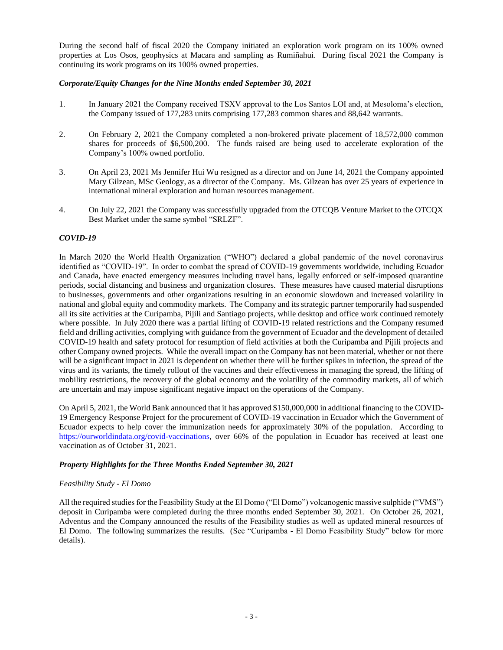During the second half of fiscal 2020 the Company initiated an exploration work program on its 100% owned properties at Los Osos, geophysics at Macara and sampling as Rumiñahui. During fiscal 2021 the Company is continuing its work programs on its 100% owned properties.

# *Corporate/Equity Changes for the Nine Months ended September 30, 2021*

- 1. In January 2021 the Company received TSXV approval to the Los Santos LOI and, at Mesoloma's election, the Company issued of 177,283 units comprising 177,283 common shares and 88,642 warrants.
- 2. On February 2, 2021 the Company completed a non-brokered private placement of 18,572,000 common shares for proceeds of \$6,500,200. The funds raised are being used to accelerate exploration of the Company's 100% owned portfolio.
- 3. On April 23, 2021 Ms Jennifer Hui Wu resigned as a director and on June 14, 2021 the Company appointed Mary Gilzean, MSc Geology, as a director of the Company. Ms. Gilzean has over 25 years of experience in international mineral exploration and human resources management.
- 4. On July 22, 2021 the Company was successfully upgraded from the OTCQB Venture Market to the OTCQX Best Market under the same symbol "SRLZF".

# *COVID-19*

In March 2020 the World Health Organization ("WHO") declared a global pandemic of the novel coronavirus identified as "COVID-19". In order to combat the spread of COVID-19 governments worldwide, including Ecuador and Canada, have enacted emergency measures including travel bans, legally enforced or self-imposed quarantine periods, social distancing and business and organization closures. These measures have caused material disruptions to businesses, governments and other organizations resulting in an economic slowdown and increased volatility in national and global equity and commodity markets. The Company and its strategic partner temporarily had suspended all its site activities at the Curipamba, Pijili and Santiago projects, while desktop and office work continued remotely where possible. In July 2020 there was a partial lifting of COVID-19 related restrictions and the Company resumed field and drilling activities, complying with guidance from the government of Ecuador and the development of detailed COVID-19 health and safety protocol for resumption of field activities at both the Curipamba and Pijili projects and other Company owned projects. While the overall impact on the Company has not been material, whether or not there will be a significant impact in 2021 is dependent on whether there will be further spikes in infection, the spread of the virus and its variants, the timely rollout of the vaccines and their effectiveness in managing the spread, the lifting of mobility restrictions, the recovery of the global economy and the volatility of the commodity markets, all of which are uncertain and may impose significant negative impact on the operations of the Company.

On April 5, 2021, the World Bank announced that it has approved \$150,000,000 in additional financing to the COVID-19 Emergency Response Project for the procurement of COVID-19 vaccination in Ecuador which the Government of Ecuador expects to help cover the immunization needs for approximately 30% of the population. According to [https://ourworldindata.org/covid-vaccinations,](https://ourworldindata.org/covid-vaccinations) over 66% of the population in Ecuador has received at least one vaccination as of October 31, 2021.

# *Property Highlights for the Three Months Ended September 30, 2021*

# *Feasibility Study - El Domo*

All the required studies for the Feasibility Study at the El Domo ("El Domo") volcanogenic massive sulphide ("VMS") deposit in Curipamba were completed during the three months ended September 30, 2021. On October 26, 2021, Adventus and the Company announced the results of the Feasibility studies as well as updated mineral resources of El Domo. The following summarizes the results. (See "Curipamba - El Domo Feasibility Study" below for more details).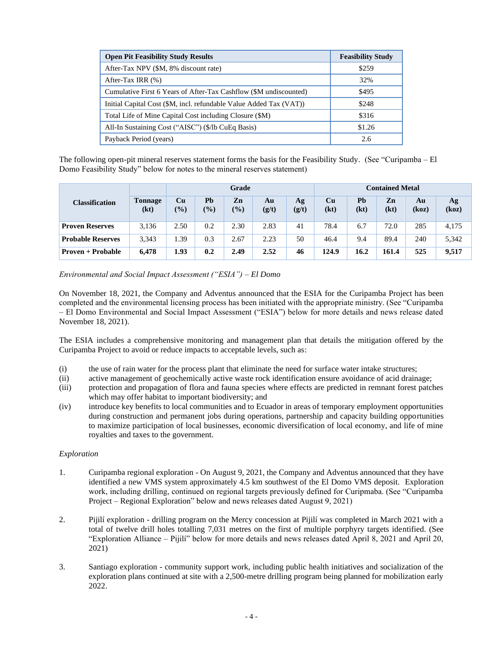| <b>Open Pit Feasibility Study Results</b>                          | <b>Feasibility Study</b> |
|--------------------------------------------------------------------|--------------------------|
| After-Tax NPV (\$M, 8% discount rate)                              | \$259                    |
| After-Tax IRR $(\%)$                                               | 32%                      |
| Cumulative First 6 Years of After-Tax Cashflow (\$M undiscounted)  | \$495                    |
| Initial Capital Cost (\$M, incl. refundable Value Added Tax (VAT)) | \$248                    |
| Total Life of Mine Capital Cost including Closure (\$M)            | \$316                    |
| All-In Sustaining Cost ("AISC") (\$/lb CuEq Basis)                 | \$1.26                   |
| Payback Period (years)                                             | 2.6                      |

The following open-pit mineral reserves statement forms the basis for the Feasibility Study. (See "Curipamba – El Domo Feasibility Study" below for notes to the mineral reserves statement)

|                          |                        | Grade               |                      |                      |             |             |                   | <b>Contained Metal</b> |            |             |             |  |
|--------------------------|------------------------|---------------------|----------------------|----------------------|-------------|-------------|-------------------|------------------------|------------|-------------|-------------|--|
| <b>Classification</b>    | <b>Tonnage</b><br>(kt) | Cu<br>$\frac{9}{6}$ | Pb<br>$\frac{10}{6}$ | Zn<br>$\frac{10}{6}$ | Au<br>(g/t) | Ag<br>(g/t) | <b>Cu</b><br>(kt) | Pb<br>(kt)             | Zn<br>(kt) | Au<br>(koz) | Ag<br>(koz) |  |
| <b>Proven Reserves</b>   | 3.136                  | 2.50                | 0.2                  | 2.30                 | 2.83        | 41          | 78.4              | 6.7                    | 72.0       | 285         | 4,175       |  |
| <b>Probable Reserves</b> | 3,343                  | 1.39                | 0.3                  | 2.67                 | 2.23        | 50          | 46.4              | 9.4                    | 89.4       | 240         | 5,342       |  |
| Proven + Probable        | 6.478                  | 1.93                | 0.2                  | 2.49                 | 2.52        | 46          | 124.9             | 16.2                   | 161.4      | 525         | 9,517       |  |

*Environmental and Social Impact Assessment ("ESIA") – El Domo*

On November 18, 2021, the Company and Adventus announced that the ESIA for the Curipamba Project has been completed and the environmental licensing process has been initiated with the appropriate ministry. (See "Curipamba – El Domo Environmental and Social Impact Assessment ("ESIA") below for more details and news release dated November 18, 2021).

The ESIA includes a comprehensive monitoring and management plan that details the mitigation offered by the Curipamba Project to avoid or reduce impacts to acceptable levels, such as:

- (i) the use of rain water for the process plant that eliminate the need for surface water intake structures;
- (ii) active management of geochemically active waste rock identification ensure avoidance of acid drainage;
- (iii) protection and propagation of flora and fauna species where effects are predicted in remnant forest patches which may offer habitat to important biodiversity; and
- (iv) introduce key benefits to local communities and to Ecuador in areas of temporary employment opportunities during construction and permanent jobs during operations, partnership and capacity building opportunities to maximize participation of local businesses, economic diversification of local economy, and life of mine royalties and taxes to the government.

# *Exploration*

- 1. Curipamba regional exploration On August 9, 2021, the Company and Adventus announced that they have identified a new VMS system approximately 4.5 km southwest of the El Domo VMS deposit. Exploration work, including drilling, continued on regional targets previously defined for Curipmaba. (See "Curipamba Project – Regional Exploration" below and news releases dated August 9, 2021)
- 2. Pijilí exploration drilling program on the Mercy concession at Pijilí was completed in March 2021 with a total of twelve drill holes totalling 7,031 metres on the first of multiple porphyry targets identified. (See "Exploration Alliance – Pijilí" below for more details and news releases dated April 8, 2021 and April 20, 2021)
- 3. Santiago exploration community support work, including public health initiatives and socialization of the exploration plans continued at site with a 2,500-metre drilling program being planned for mobilization early 2022.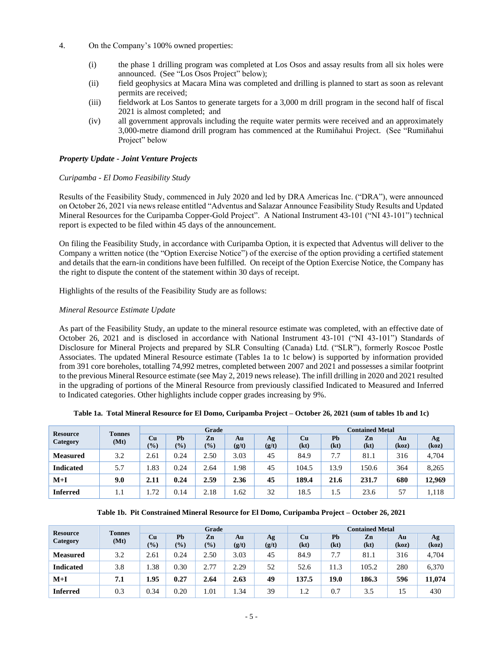- 4. On the Company's 100% owned properties:
	- (i) the phase 1 drilling program was completed at Los Osos and assay results from all six holes were announced. (See "Los Osos Project" below);
	- (ii) field geophysics at Macara Mina was completed and drilling is planned to start as soon as relevant permits are received;
	- (iii) fieldwork at Los Santos to generate targets for a 3,000 m drill program in the second half of fiscal 2021 is almost completed; and
	- (iv) all government approvals including the requite water permits were received and an approximately 3,000-metre diamond drill program has commenced at the Rumiñahui Project. (See "Rumiñahui Project" below

### *Property Update - Joint Venture Projects*

### *Curipamba - El Domo Feasibility Study*

Results of the Feasibility Study, commenced in July 2020 and led by DRA Americas Inc. ("DRA"), were announced on October 26, 2021 via news release entitled "Adventus and Salazar Announce Feasibility Study Results and Updated Mineral Resources for the Curipamba Copper-Gold Project". A National Instrument 43-101 ("NI 43-101") technical report is expected to be filed within 45 days of the announcement.

On filing the Feasibility Study, in accordance with Curipamba Option, it is expected that Adventus will deliver to the Company a written notice (the "Option Exercise Notice") of the exercise of the option providing a certified statement and details that the earn-in conditions have been fulfilled. On receipt of the Option Exercise Notice, the Company has the right to dispute the content of the statement within 30 days of receipt.

Highlights of the results of the Feasibility Study are as follows:

# *Mineral Resource Estimate Update*

As part of the Feasibility Study, an update to the mineral resource estimate was completed, with an effective date of October 26, 2021 and is disclosed in accordance with National Instrument 43-101 ("NI 43-101") Standards of Disclosure for Mineral Projects and prepared by SLR Consulting (Canada) Ltd. ("SLR"), formerly Roscoe Postle Associates. The updated Mineral Resource estimate (Tables 1a to 1c below) is supported by information provided from 391 core boreholes, totalling 74,992 metres, completed between 2007 and 2021 and possesses a similar footprint to the previous Mineral Resource estimate (see May 2, 2019 news release). The infill drilling in 2020 and 2021 resulted in the upgrading of portions of the Mineral Resource from previously classified Indicated to Measured and Inferred to Indicated categories. Other highlights include copper grades increasing by 9%.

| <b>Resource</b><br>Category | <b>Tonnes</b> |                                    |                     | Grade       |             |             | <b>Contained Metal</b> |            |            |             |             |
|-----------------------------|---------------|------------------------------------|---------------------|-------------|-------------|-------------|------------------------|------------|------------|-------------|-------------|
|                             | (Mt)          | Cu<br>$\left( \frac{0}{0} \right)$ | Pb<br>$\frac{1}{2}$ | Zn<br>(9/6) | Au<br>(g/t) | Ag<br>(g/t) | Cu<br>(kt)             | Ph<br>(kt) | Zn<br>(kt) | Au<br>(koz) | Ag<br>(koz) |
| <b>Measured</b>             | 3.2           | 2.61                               | 0.24                | 2.50        | 3.03        | 45          | 84.9                   | 7.7        | 81.1       | 316         | 4,704       |
| <b>Indicated</b>            | 5.7           | 1.83                               | 0.24                | 2.64        | l.98        | 45          | 104.5                  | 13.9       | 150.6      | 364         | 8,265       |
| $M+I$                       | 9.0           | 2.11                               | 0.24                | 2.59        | 2.36        | 45          | 189.4                  | 21.6       | 231.7      | 680         | 12,969      |
| <b>Inferred</b>             | 1.1           | 1.72                               | 0.14                | 2.18        | l.62        | 32          | 18.5                   | 1.5        | 23.6       | 57          | 1,118       |

| Table 1b. Pit Constrained Mineral Resource for El Domo, Curipamba Project – October 26, 2021 |  |  |
|----------------------------------------------------------------------------------------------|--|--|
|                                                                                              |  |  |

| <b>Resource</b><br>Category | <b>Tonnes</b> |                     |             | Grade     |             |             | <b>Contained Metal</b> |            |            |             |             |
|-----------------------------|---------------|---------------------|-------------|-----------|-------------|-------------|------------------------|------------|------------|-------------|-------------|
|                             | (Mt)          | Cu<br>$\frac{9}{6}$ | Pb<br>(9/0) | Zn<br>(%) | Au<br>(g/t) | Ag<br>(g/t) | Cu<br>(kt)             | Pb<br>(kt) | Zn<br>(kt) | Au<br>(koz) | Ag<br>(koz) |
| <b>Measured</b>             | 3.2           | 2.61                | 0.24        | 2.50      | 3.03        | 45          | 84.9                   | 7.7        | 81.1       | 316         | 4,704       |
| <b>Indicated</b>            | 3.8           | .38                 | 0.30        | 2.77      | 2.29        | 52          | 52.6                   | 11.3       | 105.2      | 280         | 6,370       |
| $M+I$                       | 7.1           | 1.95                | 0.27        | 2.64      | 2.63        | 49          | 137.5                  | 19.0       | 186.3      | 596         | 11,074      |
| <b>Inferred</b>             | 0.3           | 0.34                | 0.20        | 1.01      | . . 34      | 39          | 1.2                    | 0.7        | 3.5        | 15          | 430         |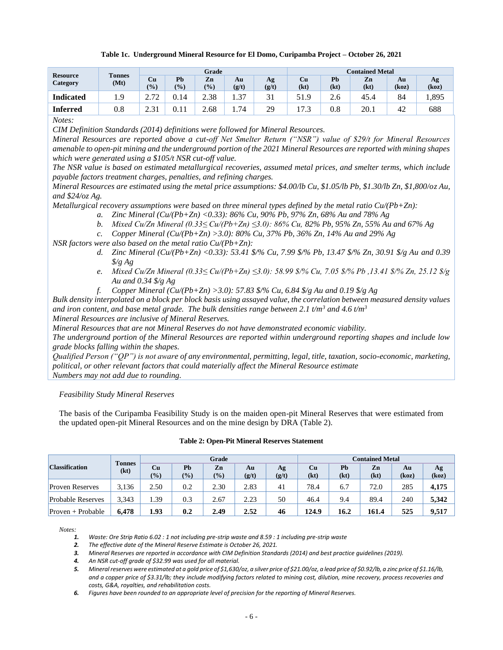### **Table 1c. Underground Mineral Resource for El Domo, Curipamba Project – October 26, 2021**

| <b>Resource</b> | <b>Tonnes</b> |            |      | Grade |       |       | <b>Contained Metal</b> |      |      |       |       |
|-----------------|---------------|------------|------|-------|-------|-------|------------------------|------|------|-------|-------|
| Category        | (Mt)          | Cu         | Pb   | Zn    | Au    | Аg    | Сu                     | Pb   | Zn   | Au    | Ag    |
|                 |               | (0/0)      | (%)  | (0/0) | (g/t) | (g/t) | (kt)                   | (kt) | (kt) | (koz) | (koz) |
| Indicated       | 1.9           | 272<br>، ، | 0.14 | 2.38  | 4.37  | ◡     | 51.9                   | 2.6  | 45.4 | 84    | 1,895 |
| Inferred        | 0.8           | 21<br>ر    | 0.1  | 2.68  | 74    | 29    | $\overline{ }$         | 0.8  | 20.1 | 42    | 688   |

*Notes:*

*CIM Definition Standards (2014) definitions were followed for Mineral Resources.*

*Mineral Resources are reported above a cut-off Net Smelter Return ("NSR") value of \$29/t for Mineral Resources amenable to open-pit mining and the underground portion of the 2021 Mineral Resources are reported with mining shapes which were generated using a \$105/t NSR cut-off value.*

*The NSR value is based on estimated metallurgical recoveries, assumed metal prices, and smelter terms, which include payable factors treatment charges, penalties, and refining charges.*

*Mineral Resources are estimated using the metal price assumptions: \$4.00/lb Cu, \$1.05/lb Pb, \$1.30/lb Zn, \$1,800/oz Au, and \$24/oz Ag.*

*Metallurgical recovery assumptions were based on three mineral types defined by the metal ratio Cu/(Pb+Zn):*

- *a. Zinc Mineral (Cu/(Pb+Zn) <0.33): 86% Cu, 90% Pb, 97% Zn, 68% Au and 78% Ag*
- *b. Mixed Cu/Zn Mineral (0.33≤ Cu/(Pb+Zn) ≤3.0): 86% Cu, 82% Pb, 95% Zn, 55% Au and 67% Ag*
- *c. Copper Mineral (Cu/(Pb+Zn) >3.0): 80% Cu, 37% Pb, 36% Zn, 14% Au and 29% Ag*

*NSR factors were also based on the metal ratio Cu/(Pb+Zn):*

- *d. Zinc Mineral (Cu/(Pb+Zn) <0.33): 53.41 \$/% Cu, 7.99 \$/% Pb, 13.47 \$/% Zn, 30.91 \$/g Au and 0.39 \$/g Ag*
- *e. Mixed Cu/Zn Mineral (0.33≤ Cu/(Pb+Zn) ≤3.0): 58.99 \$/% Cu, 7.05 \$/% Pb ,13.41 \$/% Zn, 25.12 \$/g Au and 0.34 \$/g Ag*
- *f. Copper Mineral (Cu/(Pb+Zn) >3.0): 57.83 \$/% Cu, 6.84 \$/g Au and 0.19 \$/g Ag*

*Bulk density interpolated on a block per block basis using assayed value, the correlation between measured density values and iron content, and base metal grade. The bulk densities range between 2.1 t/m<sup>3</sup> and 4.6 t/m<sup>3</sup> Mineral Resources are inclusive of Mineral Reserves.*

*Mineral Resources that are not Mineral Reserves do not have demonstrated economic viability.*

*The underground portion of the Mineral Resources are reported within underground reporting shapes and include low grade blocks falling within the shapes.*

*Qualified Person ("QP") is not aware of any environmental, permitting, legal, title, taxation, socio-economic, marketing, political, or other relevant factors that could materially affect the Mineral Resource estimate Numbers may not add due to rounding.*

*Feasibility Study Mineral Reserves*

The basis of the Curipamba Feasibility Study is on the maiden open-pit Mineral Reserves that were estimated from the updated open-pit Mineral Resources and on the mine design by DRA (Table 2).

| <b>Classification</b>    | <b>Tonnes</b> | Grade     |                     |              |             |                | <b>Contained Metal</b> |            |            |             |             |
|--------------------------|---------------|-----------|---------------------|--------------|-------------|----------------|------------------------|------------|------------|-------------|-------------|
|                          | (kt)          | Cu<br>(%) | Pb<br>$\frac{9}{6}$ | Zn<br>$(\%)$ | Au<br>(g/t) | Ag<br>(g/t)    | Cu<br>(kt)             | Pb<br>(kt) | Zn<br>(kt) | Au<br>(koz) | Ag<br>(koz) |
| <b>Proven Reserves</b>   | 3.136         | 2.50      | 0.2                 | 2.30         | 2.83        | $\overline{4}$ | 78.4                   | 6.7        | 72.0       | 285         | 4.175       |
| <b>Probable Reserves</b> | 3.343         | . . 39    | 0.3                 | 2.67         | 2.23        | 50             | 46.4                   | 9.4        | 89.4       | 240         | 5.342       |
| $Proven + Probable$      | 6.478         | 1.93      | 0.2                 | 2.49         | 2.52        | 46             | 124.9                  | 16.2       | 161.4      | 525         | 9.517       |

#### **Table 2: Open-Pit Mineral Reserves Statement**

*Notes:*

*1. Waste: Ore Strip Ratio 6.02 : 1 not including pre-strip waste and 8.59 : 1 including pre-strip waste*

*2. The effective date of the Mineral Reserve Estimate is October 26, 2021.*

*3. Mineral Reserves are reported in accordance with CIM Definition Standards (2014) and best practice guidelines (2019).*

*4. An NSR cut-off grade of \$32.99 was used for all material.*

*5. Mineral reserves were estimated at a gold price of \$1,630/oz, a silver price of \$21.00/oz, a lead price of \$0.92/lb, a zinc price of \$1.16/lb, and a copper price of \$3.31/lb; they include modifying factors related to mining cost, dilution, mine recovery, process recoveries and costs, G&A, royalties, and rehabilitation costs.*

*6. Figures have been rounded to an appropriate level of precision for the reporting of Mineral Reserves.*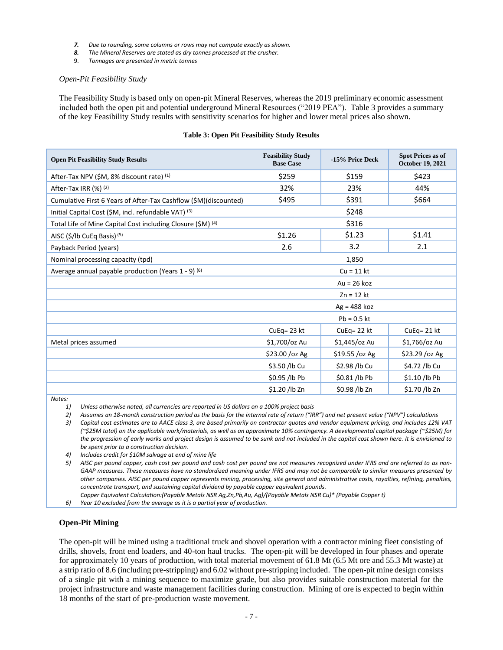- *7. Due to rounding, some columns or rows may not compute exactly as shown.*
- *8. The Mineral Reserves are stated as dry tonnes processed at the crusher.*
- 9. *Tonnages are presented in metric tonnes*

#### *Open-Pit Feasibility Study*

The Feasibility Study is based only on open-pit Mineral Reserves, whereas the 2019 preliminary economic assessment included both the open pit and potential underground Mineral Resources ("2019 PEA"). Table 3 provides a summary of the key Feasibility Study results with sensitivity scenarios for higher and lower metal prices also shown.

#### **Table 3: Open Pit Feasibility Study Results**

| <b>Open Pit Feasibility Study Results</b>                        | <b>Feasibility Study</b><br><b>Base Case</b> | -15% Price Deck | <b>Spot Prices as of</b><br><b>October 19, 2021</b> |  |  |
|------------------------------------------------------------------|----------------------------------------------|-----------------|-----------------------------------------------------|--|--|
| After-Tax NPV (\$M, 8% discount rate) (1)                        | \$259                                        | \$159           | \$423                                               |  |  |
| After-Tax IRR $(\%)$ (2)                                         | 32%                                          | 23%             | 44%                                                 |  |  |
| Cumulative First 6 Years of After-Tax Cashflow (\$M)(discounted) | \$495                                        | \$391           | \$664                                               |  |  |
| Initial Capital Cost (\$M, incl. refundable VAT) (3)             |                                              | \$248           |                                                     |  |  |
| Total Life of Mine Capital Cost including Closure (\$M) (4)      |                                              | \$316           |                                                     |  |  |
| AISC (\$/lb CuEq Basis) <sup>(5)</sup>                           | \$1.26                                       | \$1.23          | \$1.41                                              |  |  |
| Payback Period (years)                                           | 2.6                                          | 3.2             | 2.1                                                 |  |  |
| Nominal processing capacity (tpd)                                | 1,850                                        |                 |                                                     |  |  |
| Average annual payable production (Years 1 - 9) (6)              | $Cu = 11$ kt                                 |                 |                                                     |  |  |
|                                                                  |                                              | $Au = 26 koz$   |                                                     |  |  |
|                                                                  |                                              | $Zn = 12$ kt    |                                                     |  |  |
|                                                                  |                                              | $Ag = 488 koz$  |                                                     |  |  |
|                                                                  |                                              | $Pb = 0.5$ kt   |                                                     |  |  |
|                                                                  | CuEq= 23 kt                                  | CuEq= 22 kt     | CuEq= 21 kt                                         |  |  |
| Metal prices assumed                                             | \$1,700/oz Au                                | \$1,445/oz Au   | \$1,766/oz Au                                       |  |  |
|                                                                  | \$23.00 /oz Ag                               | \$19.55 /oz Ag  | \$23.29 / oz Ag                                     |  |  |
|                                                                  | \$3.50 /lb Cu                                | \$2.98 /lb Cu   | \$4.72 /lb Cu                                       |  |  |
|                                                                  | \$0.95 /lb Pb                                | \$0.81 /lb Pb   | \$1.10 /lb Pb                                       |  |  |
| $\cdots$                                                         | \$1.20 /lb Zn                                | \$0.98 /lb Zn   | \$1.70 /lb Zn                                       |  |  |

*Notes:*

*1) Unless otherwise noted, all currencies are reported in US dollars on a 100% project basis*

*2) Assumes an 18-month construction period as the basis for the internal rate of return ("IRR") and net present value ("NPV") calculations 3) Capital cost estimates are to AACE class 3, are based primarily on contractor quotes and vendor equipment pricing, and includes 12% VAT (~\$25M total) on the applicable work/materials, as well as an approximate 10% contingency. A developmental capital package (~\$25M) for the progression of early works and project design is assumed to be sunk and not included in the capital cost shown here. It is envisioned to be spent prior to a construction decision.*

*4) Includes credit for \$10M salvage at end of mine life*

*5) AISC per pound copper, cash cost per pound and cash cost per pound are not measures recognized under IFRS and are referred to as non-GAAP measures. These measures have no standardized meaning under IFRS and may not be comparable to similar measures presented by other companies. AISC per pound copper represents mining, processing, site general and administrative costs, royalties, refining, penalties, concentrate transport, and sustaining capital dividend by payable copper equivalent pounds.*

*Copper Equivalent Calculation:(Payable Metals NSR Ag,Zn,Pb,Au, Ag)/(Payable Metals NSR Cu)\* (Payable Copper t)*

*6) Year 10 excluded from the average as it is a partial year of production.*

#### **Open-Pit Mining**

The open-pit will be mined using a traditional truck and shovel operation with a contractor mining fleet consisting of drills, shovels, front end loaders, and 40-ton haul trucks. The open-pit will be developed in four phases and operate for approximately 10 years of production, with total material movement of 61.8 Mt (6.5 Mt ore and 55.3 Mt waste) at a strip ratio of 8.6 (including pre-stripping) and 6.02 without pre-stripping included. The open-pit mine design consists of a single pit with a mining sequence to maximize grade, but also provides suitable construction material for the project infrastructure and waste management facilities during construction. Mining of ore is expected to begin within 18 months of the start of pre-production waste movement.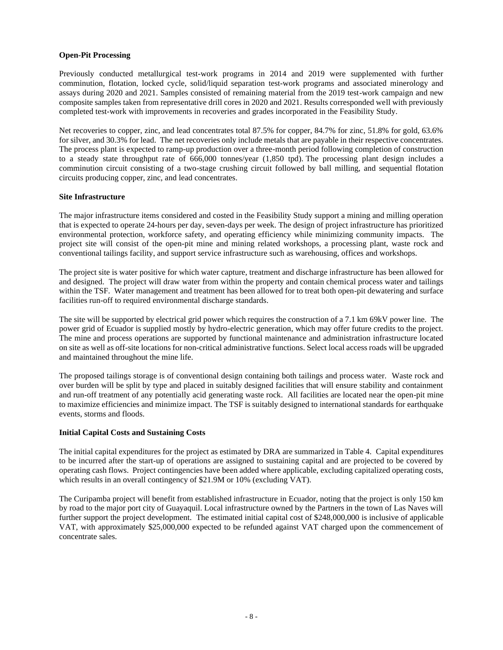### **Open-Pit Processing**

Previously conducted metallurgical test-work programs in 2014 and 2019 were supplemented with further comminution, flotation, locked cycle, solid/liquid separation test-work programs and associated minerology and assays during 2020 and 2021. Samples consisted of remaining material from the 2019 test-work campaign and new composite samples taken from representative drill cores in 2020 and 2021. Results corresponded well with previously completed test-work with improvements in recoveries and grades incorporated in the Feasibility Study.

Net recoveries to copper, zinc, and lead concentrates total 87.5% for copper, 84.7% for zinc, 51.8% for gold, 63.6% for silver, and 30.3% for lead. The net recoveries only include metals that are payable in their respective concentrates. The process plant is expected to ramp-up production over a three-month period following completion of construction to a steady state throughput rate of 666,000 tonnes/year (1,850 tpd). The processing plant design includes a comminution circuit consisting of a two-stage crushing circuit followed by ball milling, and sequential flotation circuits producing copper, zinc, and lead concentrates.

### **Site Infrastructure**

The major infrastructure items considered and costed in the Feasibility Study support a mining and milling operation that is expected to operate 24-hours per day, seven-days per week. The design of project infrastructure has prioritized environmental protection, workforce safety, and operating efficiency while minimizing community impacts. The project site will consist of the open-pit mine and mining related workshops, a processing plant, waste rock and conventional tailings facility, and support service infrastructure such as warehousing, offices and workshops.

The project site is water positive for which water capture, treatment and discharge infrastructure has been allowed for and designed. The project will draw water from within the property and contain chemical process water and tailings within the TSF. Water management and treatment has been allowed for to treat both open-pit dewatering and surface facilities run-off to required environmental discharge standards.

The site will be supported by electrical grid power which requires the construction of a 7.1 km 69kV power line. The power grid of Ecuador is supplied mostly by hydro-electric generation, which may offer future credits to the project. The mine and process operations are supported by functional maintenance and administration infrastructure located on site as well as off-site locations for non-critical administrative functions. Select local access roads will be upgraded and maintained throughout the mine life.

The proposed tailings storage is of conventional design containing both tailings and process water. Waste rock and over burden will be split by type and placed in suitably designed facilities that will ensure stability and containment and run-off treatment of any potentially acid generating waste rock. All facilities are located near the open-pit mine to maximize efficiencies and minimize impact. The TSF is suitably designed to international standards for earthquake events, storms and floods.

#### **Initial Capital Costs and Sustaining Costs**

The initial capital expenditures for the project as estimated by DRA are summarized in Table 4. Capital expenditures to be incurred after the start-up of operations are assigned to sustaining capital and are projected to be covered by operating cash flows. Project contingencies have been added where applicable, excluding capitalized operating costs, which results in an overall contingency of \$21.9M or 10% (excluding VAT).

The Curipamba project will benefit from established infrastructure in Ecuador, noting that the project is only 150 km by road to the major port city of Guayaquil. Local infrastructure owned by the Partners in the town of Las Naves will further support the project development. The estimated initial capital cost of \$248,000,000 is inclusive of applicable VAT, with approximately \$25,000,000 expected to be refunded against VAT charged upon the commencement of concentrate sales.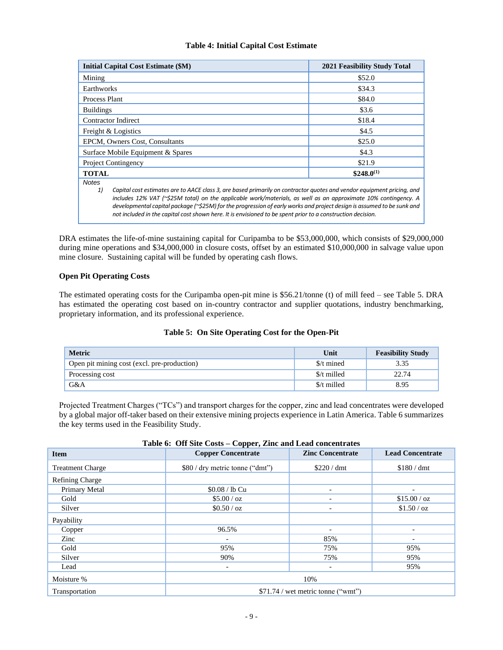# **Table 4: Initial Capital Cost Estimate**

| <b>Initial Capital Cost Estimate (\$M)</b>                                                                                                                                                                                                                                                                                                                                                                                                                                                        | 2021 Feasibility Study Total |  |  |  |  |  |
|---------------------------------------------------------------------------------------------------------------------------------------------------------------------------------------------------------------------------------------------------------------------------------------------------------------------------------------------------------------------------------------------------------------------------------------------------------------------------------------------------|------------------------------|--|--|--|--|--|
| Mining                                                                                                                                                                                                                                                                                                                                                                                                                                                                                            | \$52.0                       |  |  |  |  |  |
| Earthworks                                                                                                                                                                                                                                                                                                                                                                                                                                                                                        | \$34.3                       |  |  |  |  |  |
| Process Plant                                                                                                                                                                                                                                                                                                                                                                                                                                                                                     | \$84.0                       |  |  |  |  |  |
| <b>Buildings</b>                                                                                                                                                                                                                                                                                                                                                                                                                                                                                  | \$3.6                        |  |  |  |  |  |
| <b>Contractor Indirect</b>                                                                                                                                                                                                                                                                                                                                                                                                                                                                        | \$18.4                       |  |  |  |  |  |
| Freight & Logistics                                                                                                                                                                                                                                                                                                                                                                                                                                                                               | \$4.5                        |  |  |  |  |  |
| EPCM, Owners Cost, Consultants                                                                                                                                                                                                                                                                                                                                                                                                                                                                    | \$25.0                       |  |  |  |  |  |
| Surface Mobile Equipment & Spares                                                                                                                                                                                                                                                                                                                                                                                                                                                                 | \$4.3                        |  |  |  |  |  |
| <b>Project Contingency</b>                                                                                                                                                                                                                                                                                                                                                                                                                                                                        | \$21.9                       |  |  |  |  |  |
| <b>TOTAL</b>                                                                                                                                                                                                                                                                                                                                                                                                                                                                                      | $$248.0^{(1)}$               |  |  |  |  |  |
| <b>Notes</b>                                                                                                                                                                                                                                                                                                                                                                                                                                                                                      |                              |  |  |  |  |  |
| Capital cost estimates are to AACE class 3, are based primarily on contractor quotes and vendor equipment pricing, and<br>1)<br>includes 12% VAT (~\$25M total) on the applicable work/materials, as well as an approximate 10% contingency. A<br>developmental capital package ( $\approx$ \$25M) for the progression of early works and project design is assumed to be sunk and<br>not included in the capital cost shown here. It is envisioned to be spent prior to a construction decision. |                              |  |  |  |  |  |

DRA estimates the life-of-mine sustaining capital for Curipamba to be \$53,000,000, which consists of \$29,000,000 during mine operations and \$34,000,000 in closure costs, offset by an estimated \$10,000,000 in salvage value upon mine closure. Sustaining capital will be funded by operating cash flows.

# **Open Pit Operating Costs**

The estimated operating costs for the Curipamba open-pit mine is \$56.21/tonne (t) of mill feed – see Table 5. DRA has estimated the operating cost based on in-country contractor and supplier quotations, industry benchmarking, proprietary information, and its professional experience.

# **Table 5: On Site Operating Cost for the Open-Pit**

| <b>Metric</b>                               | Unit        | <b>Feasibility Study</b> |
|---------------------------------------------|-------------|--------------------------|
| Open pit mining cost (excl. pre-production) | \$/t mined  | 3.35                     |
| Processing cost                             | \$/t milled | 22.74                    |
| G&A                                         | \$/t milled | 8.95                     |

Projected Treatment Charges ("TCs") and transport charges for the copper, zinc and lead concentrates were developed by a global major off-taker based on their extensive mining projects experience in Latin America. Table 6 summarizes the key terms used in the Feasibility Study.

| Table 6: Off Site Costs – Copper, Zinc and Lead concentrates |                                                                                         |  |
|--------------------------------------------------------------|-----------------------------------------------------------------------------------------|--|
|                                                              | $\mathbf{Z}$ . $\mathbf{Z}$ . $\mathbf{Z}$ . $\mathbf{Z}$ . $\mathbf{Z}$ . $\mathbf{Z}$ |  |

| <b>Item</b>             | <b>Copper Concentrate</b>           | <b>Zinc Concentrate</b>  | <b>Lead Concentrate</b>  |  |  |  |
|-------------------------|-------------------------------------|--------------------------|--------------------------|--|--|--|
| <b>Treatment Charge</b> | \$80 / dry metric tonne ("dmt")     | \$220 / dm               | \$180 / dm               |  |  |  |
| <b>Refining Charge</b>  |                                     |                          |                          |  |  |  |
| Primary Metal           | \$0.08 / lb Cu                      | $\overline{\phantom{a}}$ | -                        |  |  |  |
| Gold                    | \$5.00 / oz                         | $\overline{\phantom{a}}$ | \$15.00 / oz             |  |  |  |
| Silver                  | \$0.50 / oz                         | $\overline{\phantom{a}}$ | \$1.50 / oz              |  |  |  |
| Payability              |                                     |                          |                          |  |  |  |
| Copper                  | 96.5%                               | $\overline{\phantom{a}}$ | $\overline{\phantom{a}}$ |  |  |  |
| Zinc                    | $\overline{\phantom{a}}$            | 85%                      | $\overline{\phantom{a}}$ |  |  |  |
| Gold                    | 95%                                 | 75%                      | 95%                      |  |  |  |
| Silver                  | 90%                                 | 75%                      | 95%                      |  |  |  |
| Lead                    | $\overline{\phantom{a}}$            | $\overline{\phantom{a}}$ | 95%                      |  |  |  |
| Moisture %              | 10%                                 |                          |                          |  |  |  |
| Transportation          | $$71.74$ / wet metric tonne ("wmt") |                          |                          |  |  |  |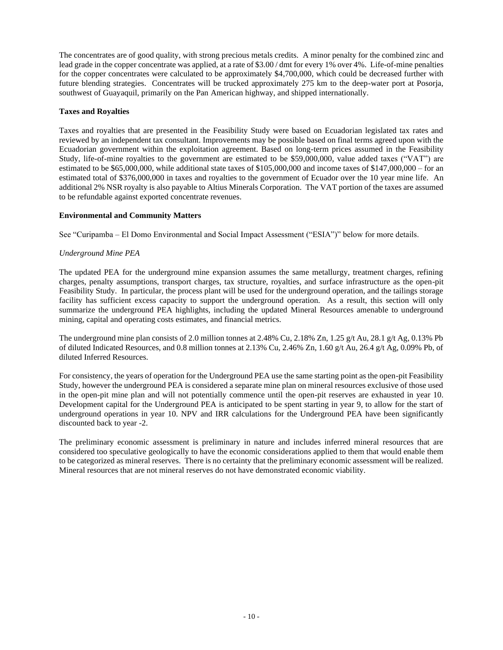The concentrates are of good quality, with strong precious metals credits. A minor penalty for the combined zinc and lead grade in the copper concentrate was applied, at a rate of \$3.00 / dmt for every 1% over 4%. Life-of-mine penalties for the copper concentrates were calculated to be approximately \$4,700,000, which could be decreased further with future blending strategies. Concentrates will be trucked approximately 275 km to the deep-water port at Posorja, southwest of Guayaquil, primarily on the Pan American highway, and shipped internationally.

### **Taxes and Royalties**

Taxes and royalties that are presented in the Feasibility Study were based on Ecuadorian legislated tax rates and reviewed by an independent tax consultant. Improvements may be possible based on final terms agreed upon with the Ecuadorian government within the exploitation agreement. Based on long-term prices assumed in the Feasibility Study, life-of-mine royalties to the government are estimated to be \$59,000,000, value added taxes ("VAT") are estimated to be \$65,000,000, while additional state taxes of \$105,000,000 and income taxes of \$147,000,000 – for an estimated total of \$376,000,000 in taxes and royalties to the government of Ecuador over the 10 year mine life. An additional 2% NSR royalty is also payable to Altius Minerals Corporation. The VAT portion of the taxes are assumed to be refundable against exported concentrate revenues.

### **Environmental and Community Matters**

See "Curipamba – El Domo Environmental and Social Impact Assessment ("ESIA")" below for more details.

# *Underground Mine PEA*

The updated PEA for the underground mine expansion assumes the same metallurgy, treatment charges, refining charges, penalty assumptions, transport charges, tax structure, royalties, and surface infrastructure as the open-pit Feasibility Study. In particular, the process plant will be used for the underground operation, and the tailings storage facility has sufficient excess capacity to support the underground operation. As a result, this section will only summarize the underground PEA highlights, including the updated Mineral Resources amenable to underground mining, capital and operating costs estimates, and financial metrics.

The underground mine plan consists of 2.0 million tonnes at 2.48% Cu, 2.18% Zn, 1.25 g/t Au, 28.1 g/t Ag, 0.13% Pb of diluted Indicated Resources, and 0.8 million tonnes at 2.13% Cu, 2.46% Zn, 1.60 g/t Au, 26.4 g/t Ag, 0.09% Pb, of diluted Inferred Resources.

For consistency, the years of operation for the Underground PEA use the same starting point as the open-pit Feasibility Study, however the underground PEA is considered a separate mine plan on mineral resources exclusive of those used in the open-pit mine plan and will not potentially commence until the open-pit reserves are exhausted in year 10. Development capital for the Underground PEA is anticipated to be spent starting in year 9, to allow for the start of underground operations in year 10. NPV and IRR calculations for the Underground PEA have been significantly discounted back to year -2.

The preliminary economic assessment is preliminary in nature and includes inferred mineral resources that are considered too speculative geologically to have the economic considerations applied to them that would enable them to be categorized as mineral reserves. There is no certainty that the preliminary economic assessment will be realized. Mineral resources that are not mineral reserves do not have demonstrated economic viability.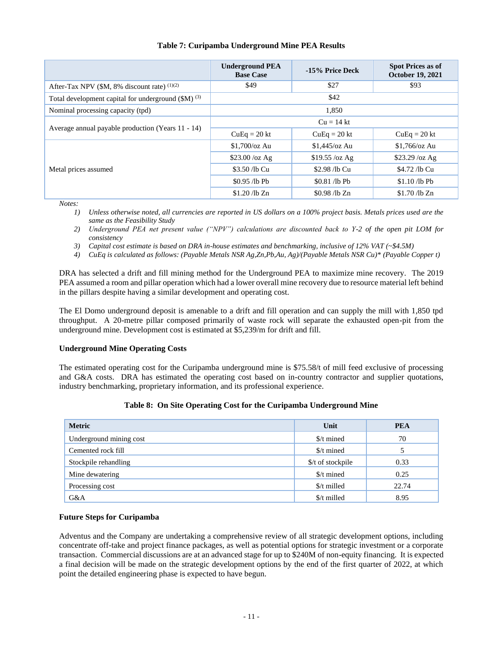|                                                                | <b>Underground PEA</b><br><b>Base Case</b> | -15% Price Deck | <b>Spot Prices as of</b><br><b>October 19, 2021</b> |  |  |  |
|----------------------------------------------------------------|--------------------------------------------|-----------------|-----------------------------------------------------|--|--|--|
| After-Tax NPV (\$M, 8% discount rate) (1)(2)                   | \$49                                       | \$27            | \$93                                                |  |  |  |
| Total development capital for underground (\$M) <sup>(3)</sup> |                                            | \$42            |                                                     |  |  |  |
| Nominal processing capacity (tpd)                              |                                            | 1.850           |                                                     |  |  |  |
|                                                                | $Cu = 14$ kt                               |                 |                                                     |  |  |  |
| Average annual payable production (Years 11 - 14)              | $CuEq = 20$ kt                             | $CuEq = 20$ kt  | $CuEq = 20 kt$                                      |  |  |  |
|                                                                | $$1.700$ /oz Au                            | $$1.445$ /oz Au | $$1.766$ /oz Au                                     |  |  |  |
|                                                                | $$23.00$ /oz Ag                            | $$19.55$ /oz Ag | $$23.29$ /oz Ag                                     |  |  |  |
| Metal prices assumed                                           | \$3.50 /lb Cu<br>\$2.98 /lb Cu             |                 | \$4.72 /lb Cu                                       |  |  |  |
|                                                                | \$0.95 /lb Pb                              | \$0.81 /lb Pb   | $$1.10$ /lb Pb                                      |  |  |  |
|                                                                | $$1.20$ /lb Zn                             | $$0.98$ /lb Zn  | $$1.70$ /lb Zn                                      |  |  |  |

# **Table 7: Curipamba Underground Mine PEA Results**

*Notes:*

*1) Unless otherwise noted, all currencies are reported in US dollars on a 100% project basis. Metals prices used are the same as the Feasibility Study*

- *2) Underground PEA net present value ("NPV") calculations are discounted back to Y-2 of the open pit LOM for consistency*
- *3) Capital cost estimate is based on DRA in-house estimates and benchmarking, inclusive of 12% VAT (~\$4.5M)*
- *4) CuEq is calculated as follows: (Payable Metals NSR Ag,Zn,Pb,Au, Ag)/(Payable Metals NSR Cu)\* (Payable Copper t)*

DRA has selected a drift and fill mining method for the Underground PEA to maximize mine recovery. The 2019 PEA assumed a room and pillar operation which had a lower overall mine recovery due to resource material left behind in the pillars despite having a similar development and operating cost.

The El Domo underground deposit is amenable to a drift and fill operation and can supply the mill with 1,850 tpd throughput. A 20-metre pillar composed primarily of waste rock will separate the exhausted open-pit from the underground mine. Development cost is estimated at \$5,239/m for drift and fill.

# **Underground Mine Operating Costs**

The estimated operating cost for the Curipamba underground mine is \$75.58/t of mill feed exclusive of processing and G&A costs. DRA has estimated the operating cost based on in-country contractor and supplier quotations, industry benchmarking, proprietary information, and its professional experience.

# **Table 8: On Site Operating Cost for the Curipamba Underground Mine**

| <b>Metric</b>           | Unit                | <b>PEA</b> |
|-------------------------|---------------------|------------|
| Underground mining cost | \$/t mined          | 70         |
| Cemented rock fill      | \$/t mined          |            |
| Stockpile rehandling    | \$/t of stockpile   | 0.33       |
| Mine dewatering         | $\frac{s}{t}$ mined | 0.25       |
| Processing cost         | \$/t milled         | 22.74      |
| G&A                     | \$/t milled         | 8.95       |

# **Future Steps for Curipamba**

Adventus and the Company are undertaking a comprehensive review of all strategic development options, including concentrate off-take and project finance packages, as well as potential options for strategic investment or a corporate transaction. Commercial discussions are at an advanced stage for up to \$240M of non-equity financing. It is expected a final decision will be made on the strategic development options by the end of the first quarter of 2022, at which point the detailed engineering phase is expected to have begun.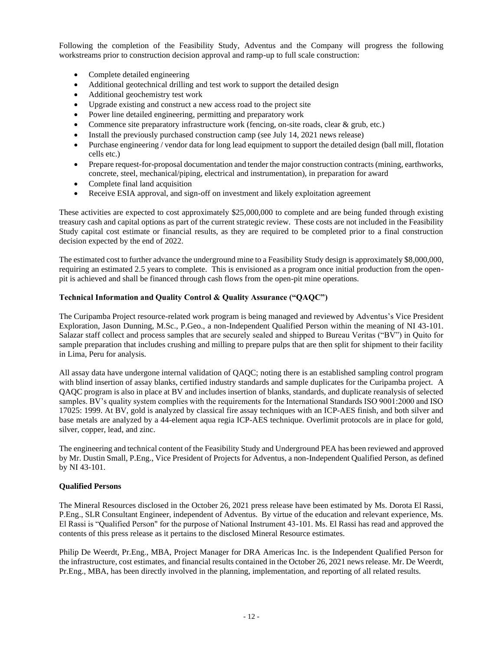Following the completion of the Feasibility Study, Adventus and the Company will progress the following workstreams prior to construction decision approval and ramp-up to full scale construction:

- Complete detailed engineering
- Additional geotechnical drilling and test work to support the detailed design
- Additional geochemistry test work
- Upgrade existing and construct a new access road to the project site
- Power line detailed engineering, permitting and preparatory work
- Commence site preparatory infrastructure work (fencing, on-site roads, clear & grub, etc.)
- Install the previously purchased construction camp (see July 14, 2021 news release)
- Purchase engineering / vendor data for long lead equipment to support the detailed design (ball mill, flotation cells etc.)
- Prepare request-for-proposal documentation and tender the major construction contracts (mining, earthworks, concrete, steel, mechanical/piping, electrical and instrumentation), in preparation for award
- Complete final land acquisition
- Receive ESIA approval, and sign-off on investment and likely exploitation agreement

These activities are expected to cost approximately \$25,000,000 to complete and are being funded through existing treasury cash and capital options as part of the current strategic review. These costs are not included in the Feasibility Study capital cost estimate or financial results, as they are required to be completed prior to a final construction decision expected by the end of 2022.

The estimated cost to further advance the underground mine to a Feasibility Study design is approximately \$8,000,000, requiring an estimated 2.5 years to complete. This is envisioned as a program once initial production from the openpit is achieved and shall be financed through cash flows from the open-pit mine operations.

# **Technical Information and Quality Control & Quality Assurance ("QAQC")**

The Curipamba Project resource-related work program is being managed and reviewed by Adventus's Vice President Exploration, Jason Dunning, M.Sc., P.Geo., a non-Independent Qualified Person within the meaning of NI 43-101. Salazar staff collect and process samples that are securely sealed and shipped to Bureau Veritas ("BV") in Quito for sample preparation that includes crushing and milling to prepare pulps that are then split for shipment to their facility in Lima, Peru for analysis.

All assay data have undergone internal validation of QAQC; noting there is an established sampling control program with blind insertion of assay blanks, certified industry standards and sample duplicates for the Curipamba project. A QAQC program is also in place at BV and includes insertion of blanks, standards, and duplicate reanalysis of selected samples. BV's quality system complies with the requirements for the International Standards ISO 9001:2000 and ISO 17025: 1999. At BV, gold is analyzed by classical fire assay techniques with an ICP-AES finish, and both silver and base metals are analyzed by a 44-element aqua regia ICP-AES technique. Overlimit protocols are in place for gold, silver, copper, lead, and zinc.

The engineering and technical content of the Feasibility Study and Underground PEA has been reviewed and approved by Mr. Dustin Small, P.Eng., Vice President of Projects for Adventus, a non-Independent Qualified Person, as defined by NI 43-101.

# **Qualified Persons**

The Mineral Resources disclosed in the October 26, 2021 press release have been estimated by Ms. Dorota El Rassi, P.Eng., SLR Consultant Engineer, independent of Adventus. By virtue of the education and relevant experience, Ms. El Rassi is "Qualified Person" for the purpose of National Instrument 43-101. Ms. El Rassi has read and approved the contents of this press release as it pertains to the disclosed Mineral Resource estimates.

Philip De Weerdt, Pr.Eng., MBA, Project Manager for DRA Americas Inc. is the Independent Qualified Person for the infrastructure, cost estimates, and financial results contained in the October 26, 2021 news release. Mr. De Weerdt, Pr.Eng., MBA, has been directly involved in the planning, implementation, and reporting of all related results.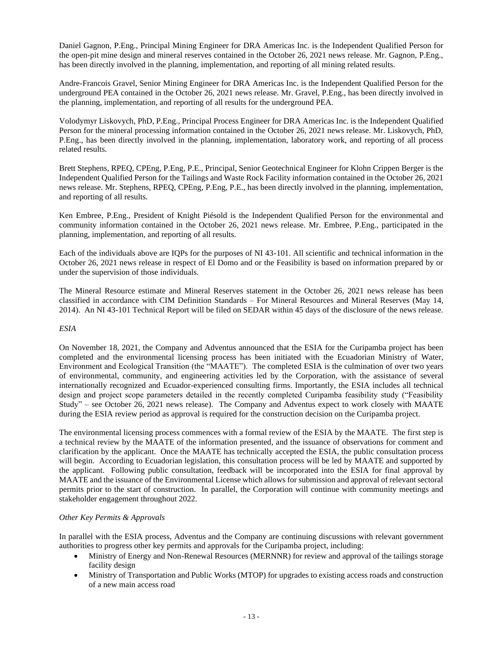Daniel Gagnon, P.Eng., Principal Mining Engineer for DRA Americas Inc. is the Independent Qualified Person for the open-pit mine design and mineral reserves contained in the October 26, 2021 news release. Mr. Gagnon, P.Eng., has been directly involved in the planning, implementation, and reporting of all mining related results.

Andre-Francois Gravel, Senior Mining Engineer for DRA Americas Inc. is the Independent Qualified Person for the underground PEA contained in the October 26, 2021 news release. Mr. Gravel, P.Eng., has been directly involved in the planning, implementation, and reporting of all results for the underground PEA.

Volodymyr Liskovych, PhD, P.Eng., Principal Process Engineer for DRA Americas Inc. is the Independent Qualified Person for the mineral processing information contained in the October 26, 2021 news release. Mr. Liskovych, PhD, P.Eng., has been directly involved in the planning, implementation, laboratory work, and reporting of all process related results.

Brett Stephens, RPEQ, CPEng, P.Eng, P.E., Principal, Senior Geotechnical Engineer for Klohn Crippen Berger is the Independent Qualified Person for the Tailings and Waste Rock Facility information contained in the October 26, 2021 news release. Mr. Stephens, RPEQ, CPEng, P.Eng, P.E., has been directly involved in the planning, implementation, and reporting of all results.

Ken Embree, P.Eng., President of Knight Piésold is the Independent Qualified Person for the environmental and community information contained in the October 26, 2021 news release. Mr. Embree, P.Eng., participated in the planning, implementation, and reporting of all results.

Each of the individuals above are IQPs for the purposes of NI 43-101. All scientific and technical information in the October 26, 2021 news release in respect of El Domo and or the Feasibility is based on information prepared by or under the supervision of those individuals.

The Mineral Resource estimate and Mineral Reserves statement in the October 26, 2021 news release has been classified in accordance with CIM Definition Standards – For Mineral Resources and Mineral Reserves (May 14, 2014). An NI 43-101 Technical Report will be filed on SEDAR within 45 days of the disclosure of the news release.

# *ESIA*

On November 18, 2021, the Company and Adventus announced that the ESIA for the Curipamba project has been completed and the environmental licensing process has been initiated with the Ecuadorian Ministry of Water, Environment and Ecological Transition (the "MAATE"). The completed ESIA is the culmination of over two years of environmental, community, and engineering activities led by the Corporation, with the assistance of several internationally recognized and Ecuador-experienced consulting firms. Importantly, the ESIA includes all technical design and project scope parameters detailed in the recently completed Curipamba feasibility study ("Feasibility Study" – see October 26, 2021 news release). The Company and Adventus expect to work closely with MAATE during the ESIA review period as approval is required for the construction decision on the Curipamba project.

The environmental licensing process commences with a formal review of the ESIA by the MAATE. The first step is a technical review by the MAATE of the information presented, and the issuance of observations for comment and clarification by the applicant. Once the MAATE has technically accepted the ESIA, the public consultation process will begin. According to Ecuadorian legislation, this consultation process will be led by MAATE and supported by the applicant. Following public consultation, feedback will be incorporated into the ESIA for final approval by MAATE and the issuance of the Environmental License which allows for submission and approval of relevant sectoral permits prior to the start of construction. In parallel, the Corporation will continue with community meetings and stakeholder engagement throughout 2022.

# *Other Key Permits & Approvals*

In parallel with the ESIA process, Adventus and the Company are continuing discussions with relevant government authorities to progress other key permits and approvals for the Curipamba project, including:

- Ministry of Energy and Non-Renewal Resources (MERNNR) for review and approval of the tailings storage facility design
- Ministry of Transportation and Public Works (MTOP) for upgrades to existing access roads and construction of a new main access road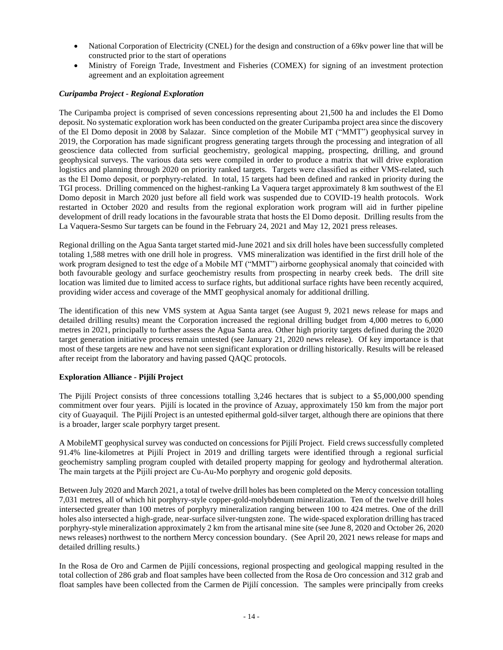- National Corporation of Electricity (CNEL) for the design and construction of a 69kv power line that will be constructed prior to the start of operations
- Ministry of Foreign Trade, Investment and Fisheries (COMEX) for signing of an investment protection agreement and an exploitation agreement

# *Curipamba Project - Regional Exploration*

The Curipamba project is comprised of seven concessions representing about 21,500 ha and includes the El Domo deposit. No systematic exploration work has been conducted on the greater Curipamba project area since the discovery of the El Domo deposit in 2008 by Salazar. Since completion of the Mobile MT ("MMT") geophysical survey in 2019, the Corporation has made significant progress generating targets through the processing and integration of all geoscience data collected from surficial geochemistry, geological mapping, prospecting, drilling, and ground geophysical surveys. The various data sets were compiled in order to produce a matrix that will drive exploration logistics and planning through 2020 on priority ranked targets. Targets were classified as either VMS-related, such as the El Domo deposit, or porphyry‐related. In total, 15 targets had been defined and ranked in priority during the TGI process. Drilling commenced on the highest-ranking La Vaquera target approximately 8 km southwest of the El Domo deposit in March 2020 just before all field work was suspended due to COVID-19 health protocols. Work restarted in October 2020 and results from the regional exploration work program will aid in further pipeline development of drill ready locations in the favourable strata that hosts the El Domo deposit. Drilling results from the La Vaquera-Sesmo Sur targets can be found in the February 24, 2021 and May 12, 2021 press releases.

Regional drilling on the Agua Santa target started mid-June 2021 and six drill holes have been successfully completed totaling 1,588 metres with one drill hole in progress. VMS mineralization was identified in the first drill hole of the work program designed to test the edge of a Mobile MT ("MMT") airborne geophysical anomaly that coincided with both favourable geology and surface geochemistry results from prospecting in nearby creek beds. The drill site location was limited due to limited access to surface rights, but additional surface rights have been recently acquired, providing wider access and coverage of the MMT geophysical anomaly for additional drilling.

The identification of this new VMS system at Agua Santa target (see August 9, 2021 news release for maps and detailed drilling results) meant the Corporation increased the regional drilling budget from 4,000 metres to 6,000 metres in 2021, principally to further assess the Agua Santa area. Other high priority targets defined during the 2020 target generation initiative process remain untested (see January 21, 2020 news release). Of key importance is that most of these targets are new and have not seen significant exploration or drilling historically. Results will be released after receipt from the laboratory and having passed QAQC protocols.

# **Exploration Alliance - Pijilí Project**

The Pijilí Project consists of three concessions totalling 3,246 hectares that is subject to a \$5,000,000 spending commitment over four years. Pijilí is located in the province of Azuay, approximately 150 km from the major port city of Guayaquil. The Pijilí Project is an untested epithermal gold-silver target, although there are opinions that there is a broader, larger scale porphyry target present.

A MobileMT geophysical survey was conducted on concessions for Pijilí Project. Field crews successfully completed 91.4% line-kilometres at Pijilí Project in 2019 and drilling targets were identified through a regional surficial geochemistry sampling program coupled with detailed property mapping for geology and hydrothermal alteration. The main targets at the Pijilí project are Cu-Au-Mo porphyry and orogenic gold deposits.

Between July 2020 and March 2021, a total of twelve drill holes has been completed on the Mercy concession totalling 7,031 metres, all of which hit porphyry-style copper-gold-molybdenum mineralization. Ten of the twelve drill holes intersected greater than 100 metres of porphyry mineralization ranging between 100 to 424 metres. One of the drill holes also intersected a high-grade, near-surface silver-tungsten zone. The wide-spaced exploration drilling has traced porphyry-style mineralization approximately 2 km from the artisanal mine site (see June 8, 2020 and October 26, 2020 news releases) northwest to the northern Mercy concession boundary. (See April 20, 2021 news release for maps and detailed drilling results.)

In the Rosa de Oro and Carmen de Pijilí concessions, regional prospecting and geological mapping resulted in the total collection of 286 grab and float samples have been collected from the Rosa de Oro concession and 312 grab and float samples have been collected from the Carmen de Pijilí concession. The samples were principally from creeks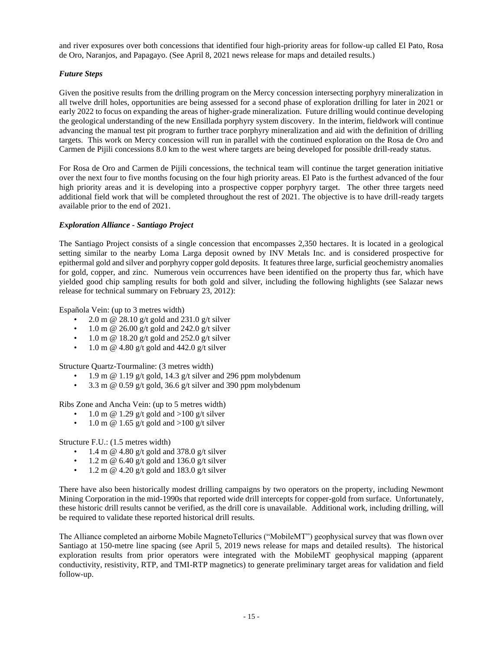and river exposures over both concessions that identified four high-priority areas for follow-up called El Pato, Rosa de Oro, Naranjos, and Papagayo. (See April 8, 2021 news release for maps and detailed results.)

# *Future Steps*

Given the positive results from the drilling program on the Mercy concession intersecting porphyry mineralization in all twelve drill holes, opportunities are being assessed for a second phase of exploration drilling for later in 2021 or early 2022 to focus on expanding the areas of higher-grade mineralization. Future drilling would continue developing the geological understanding of the new Ensillada porphyry system discovery. In the interim, fieldwork will continue advancing the manual test pit program to further trace porphyry mineralization and aid with the definition of drilling targets. This work on Mercy concession will run in parallel with the continued exploration on the Rosa de Oro and Carmen de Pijili concessions 8.0 km to the west where targets are being developed for possible drill-ready status.

For Rosa de Oro and Carmen de Pijili concessions, the technical team will continue the target generation initiative over the next four to five months focusing on the four high priority areas. El Pato is the furthest advanced of the four high priority areas and it is developing into a prospective copper porphyry target. The other three targets need additional field work that will be completed throughout the rest of 2021. The objective is to have drill-ready targets available prior to the end of 2021.

# *Exploration Alliance - Santiago Project*

The Santiago Project consists of a single concession that encompasses 2,350 hectares. It is located in a geological setting similar to the nearby Loma Larga deposit owned by INV Metals Inc. and is considered prospective for epithermal gold and silver and porphyry copper gold deposits. It features three large, surficial geochemistry anomalies for gold, copper, and zinc. Numerous vein occurrences have been identified on the property thus far, which have yielded good chip sampling results for both gold and silver, including the following highlights (see Salazar news release for technical summary on February 23, 2012):

Española Vein: (up to 3 metres width)

- 2.0 m @ 28.10 g/t gold and 231.0 g/t silver
- $\cdot$  1.0 m @ 26.00 g/t gold and 242.0 g/t silver
- $\cdot$  1.0 m @ 18.20 g/t gold and 252.0 g/t silver
- 1.0 m  $\omega$  4.80 g/t gold and 442.0 g/t silver

Structure Quartz-Tourmaline: (3 metres width)

- 1.9 m  $\omega$  1.19 g/t gold, 14.3 g/t silver and 296 ppm molybdenum
- 3.3 m @ 0.59 g/t gold, 36.6 g/t silver and 390 ppm molybdenum

Ribs Zone and Ancha Vein: (up to 5 metres width)

- 1.0 m @ 1.29 g/t gold and  $>100$  g/t silver
- 1.0 m  $\omega$  1.65 g/t gold and >100 g/t silver

Structure F.U.: (1.5 metres width)

- 1.4 m @ 4.80 g/t gold and 378.0 g/t silver
- 1.2 m @ 6.40 g/t gold and 136.0 g/t silver
- 1.2 m @ 4.20 g/t gold and 183.0 g/t silver

There have also been historically modest drilling campaigns by two operators on the property, including Newmont Mining Corporation in the mid-1990s that reported wide drill intercepts for copper-gold from surface. Unfortunately, these historic drill results cannot be verified, as the drill core is unavailable. Additional work, including drilling, will be required to validate these reported historical drill results.

The Alliance completed an airborne Mobile MagnetoTellurics ("MobileMT") geophysical survey that was flown over Santiago at 150-metre line spacing (see April 5, 2019 news release for maps and detailed results). The historical exploration results from prior operators were integrated with the MobileMT geophysical mapping (apparent conductivity, resistivity, RTP, and TMI-RTP magnetics) to generate preliminary target areas for validation and field follow-up.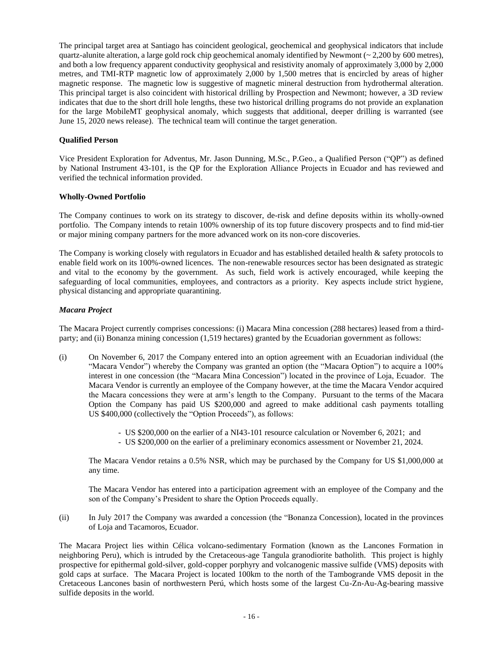The principal target area at Santiago has coincident geological, geochemical and geophysical indicators that include quartz-alunite alteration, a large gold rock chip geochemical anomaly identified by Newmont ( $\sim$  2,200 by 600 metres), and both a low frequency apparent conductivity geophysical and resistivity anomaly of approximately 3,000 by 2,000 metres, and TMI-RTP magnetic low of approximately 2,000 by 1,500 metres that is encircled by areas of higher magnetic response. The magnetic low is suggestive of magnetic mineral destruction from hydrothermal alteration. This principal target is also coincident with historical drilling by Prospection and Newmont; however, a 3D review indicates that due to the short drill hole lengths, these two historical drilling programs do not provide an explanation for the large MobileMT geophysical anomaly, which suggests that additional, deeper drilling is warranted (see June 15, 2020 news release). The technical team will continue the target generation.

# **Qualified Person**

Vice President Exploration for Adventus, Mr. Jason Dunning, M.Sc., P.Geo., a Qualified Person ("QP") as defined by National Instrument 43-101, is the QP for the Exploration Alliance Projects in Ecuador and has reviewed and verified the technical information provided.

### **Wholly-Owned Portfolio**

The Company continues to work on its strategy to discover, de-risk and define deposits within its wholly-owned portfolio. The Company intends to retain 100% ownership of its top future discovery prospects and to find mid-tier or major mining company partners for the more advanced work on its non-core discoveries.

The Company is working closely with regulators in Ecuador and has established detailed health & safety protocols to enable field work on its 100%-owned licences. The non-renewable resources sector has been designated as strategic and vital to the economy by the government. As such, field work is actively encouraged, while keeping the safeguarding of local communities, employees, and contractors as a priority. Key aspects include strict hygiene, physical distancing and appropriate quarantining.

### *Macara Project*

The Macara Project currently comprises concessions: (i) Macara Mina concession (288 hectares) leased from a thirdparty; and (ii) Bonanza mining concession (1,519 hectares) granted by the Ecuadorian government as follows:

- (i) On November 6, 2017 the Company entered into an option agreement with an Ecuadorian individual (the "Macara Vendor") whereby the Company was granted an option (the "Macara Option") to acquire a 100% interest in one concession (the "Macara Mina Concession") located in the province of Loja, Ecuador. The Macara Vendor is currently an employee of the Company however, at the time the Macara Vendor acquired the Macara concessions they were at arm's length to the Company. Pursuant to the terms of the Macara Option the Company has paid US \$200,000 and agreed to make additional cash payments totalling US \$400,000 (collectively the "Option Proceeds"), as follows:
	- US \$200,000 on the earlier of a NI43-101 resource calculation or November 6, 2021; and
	- US \$200,000 on the earlier of a preliminary economics assessment or November 21, 2024.

The Macara Vendor retains a 0.5% NSR, which may be purchased by the Company for US \$1,000,000 at any time.

The Macara Vendor has entered into a participation agreement with an employee of the Company and the son of the Company's President to share the Option Proceeds equally.

(ii) In July 2017 the Company was awarded a concession (the "Bonanza Concession), located in the provinces of Loja and Tacamoros, Ecuador.

The Macara Project lies within Célica volcano-sedimentary Formation (known as the Lancones Formation in neighboring Peru), which is intruded by the Cretaceous-age Tangula granodiorite batholith. This project is highly prospective for epithermal gold-silver, gold-copper porphyry and volcanogenic massive sulfide (VMS) deposits with gold caps at surface. The Macara Project is located 100km to the north of the Tambogrande VMS deposit in the Cretaceous Lancones basin of northwestern Perú, which hosts some of the largest Cu-Zn-Au-Ag-bearing massive sulfide deposits in the world.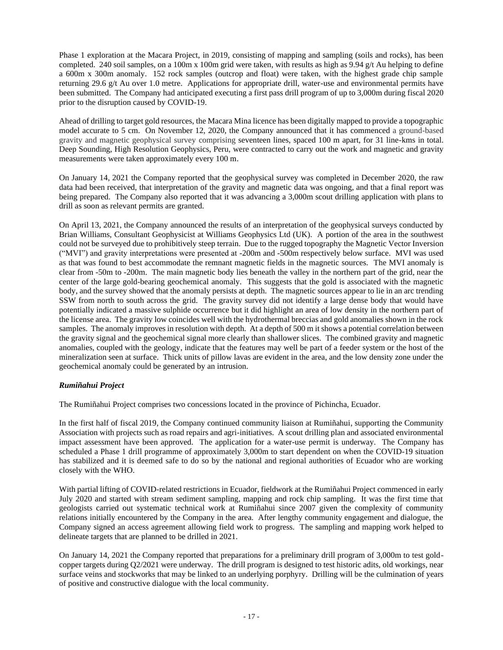Phase 1 exploration at the Macara Project, in 2019, consisting of mapping and sampling (soils and rocks), has been completed. 240 soil samples, on a 100m x 100m grid were taken, with results as high as 9.94 g/t Au helping to define a 600m x 300m anomaly. 152 rock samples (outcrop and float) were taken, with the highest grade chip sample returning 29.6 g/t Au over 1.0 metre. Applications for appropriate drill, water-use and environmental permits have been submitted. The Company had anticipated executing a first pass drill program of up to 3,000m during fiscal 2020 prior to the disruption caused by COVID-19.

Ahead of drilling to target gold resources, the Macara Mina licence has been digitally mapped to provide a topographic model accurate to 5 cm. On November 12, 2020, the Company announced that it has commenced a ground-based gravity and magnetic geophysical survey comprising seventeen lines, spaced 100 m apart, for 31 line-kms in total. Deep Sounding, High Resolution Geophysics, Peru, were contracted to carry out the work and magnetic and gravity measurements were taken approximately every 100 m.

On January 14, 2021 the Company reported that the geophysical survey was completed in December 2020, the raw data had been received, that interpretation of the gravity and magnetic data was ongoing, and that a final report was being prepared. The Company also reported that it was advancing a 3,000m scout drilling application with plans to drill as soon as relevant permits are granted.

On April 13, 2021, the Company announced the results of an interpretation of the geophysical surveys conducted by Brian Williams, Consultant Geophysicist at Williams Geophysics Ltd (UK). A portion of the area in the southwest could not be surveyed due to prohibitively steep terrain. Due to the rugged topography the Magnetic Vector Inversion ("MVI") and gravity interpretations were presented at -200m and -500m respectively below surface. MVI was used as that was found to best accommodate the remnant magnetic fields in the magnetic sources. The MVI anomaly is clear from -50m to -200m. The main magnetic body lies beneath the valley in the northern part of the grid, near the center of the large gold-bearing geochemical anomaly. This suggests that the gold is associated with the magnetic body, and the survey showed that the anomaly persists at depth. The magnetic sources appear to lie in an arc trending SSW from north to south across the grid. The gravity survey did not identify a large dense body that would have potentially indicated a massive sulphide occurrence but it did highlight an area of low density in the northern part of the license area. The gravity low coincides well with the hydrothermal breccias and gold anomalies shown in the rock samples. The anomaly improves in resolution with depth. At a depth of 500 m it shows a potential correlation between the gravity signal and the geochemical signal more clearly than shallower slices. The combined gravity and magnetic anomalies, coupled with the geology, indicate that the features may well be part of a feeder system or the host of the mineralization seen at surface. Thick units of pillow lavas are evident in the area, and the low density zone under the geochemical anomaly could be generated by an intrusion.

# *Rumiñahui Project*

The Rumiñahui Project comprises two concessions located in the province of Pichincha, Ecuador.

In the first half of fiscal 2019, the Company continued community liaison at Rumiñahui, supporting the Community Association with projects such as road repairs and agri-initiatives. A scout drilling plan and associated environmental impact assessment have been approved. The application for a water-use permit is underway. The Company has scheduled a Phase 1 drill programme of approximately 3,000m to start dependent on when the COVID-19 situation has stabilized and it is deemed safe to do so by the national and regional authorities of Ecuador who are working closely with the WHO.

With partial lifting of COVID-related restrictions in Ecuador, fieldwork at the Rumiñahui Project commenced in early July 2020 and started with stream sediment sampling, mapping and rock chip sampling. It was the first time that geologists carried out systematic technical work at Rumiñahui since 2007 given the complexity of community relations initially encountered by the Company in the area. After lengthy community engagement and dialogue, the Company signed an access agreement allowing field work to progress. The sampling and mapping work helped to delineate targets that are planned to be drilled in 2021.

On January 14, 2021 the Company reported that preparations for a preliminary drill program of 3,000m to test goldcopper targets during Q2/2021 were underway. The drill program is designed to test historic adits, old workings, near surface veins and stockworks that may be linked to an underlying porphyry. Drilling will be the culmination of years of positive and constructive dialogue with the local community.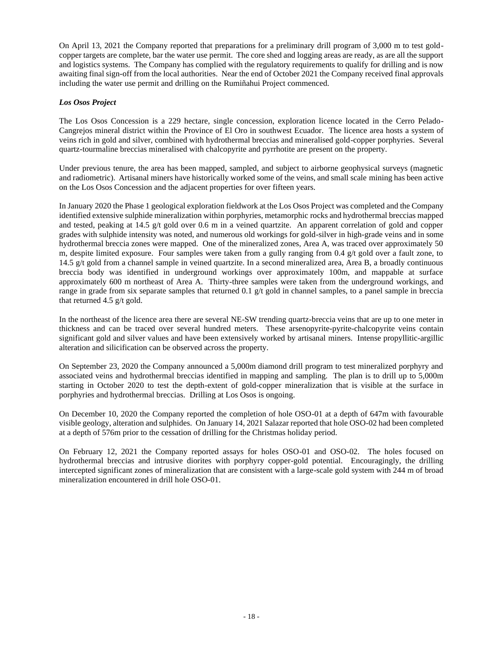On April 13, 2021 the Company reported that preparations for a preliminary drill program of 3,000 m to test goldcopper targets are complete, bar the water use permit. The core shed and logging areas are ready, as are all the support and logistics systems. The Company has complied with the regulatory requirements to qualify for drilling and is now awaiting final sign-off from the local authorities. Near the end of October 2021 the Company received final approvals including the water use permit and drilling on the Rumiñahui Project commenced.

# *Los Osos Project*

The Los Osos Concession is a 229 hectare, single concession, exploration licence located in the Cerro Pelado-Cangrejos mineral district within the Province of El Oro in southwest Ecuador. The licence area hosts a system of veins rich in gold and silver, combined with hydrothermal breccias and mineralised gold-copper porphyries. Several quartz-tourmaline breccias mineralised with chalcopyrite and pyrrhotite are present on the property.

Under previous tenure, the area has been mapped, sampled, and subject to airborne geophysical surveys (magnetic and radiometric). Artisanal miners have historically worked some of the veins, and small scale mining has been active on the Los Osos Concession and the adjacent properties for over fifteen years.

In January 2020 the Phase 1 geological exploration fieldwork at the Los Osos Project was completed and the Company identified extensive sulphide mineralization within porphyries, metamorphic rocks and hydrothermal breccias mapped and tested, peaking at 14.5 g/t gold over 0.6 m in a veined quartzite. An apparent correlation of gold and copper grades with sulphide intensity was noted, and numerous old workings for gold-silver in high-grade veins and in some hydrothermal breccia zones were mapped. One of the mineralized zones, Area A, was traced over approximately 50 m, despite limited exposure. Four samples were taken from a gully ranging from 0.4 g/t gold over a fault zone, to 14.5 g/t gold from a channel sample in veined quartzite. In a second mineralized area, Area B, a broadly continuous breccia body was identified in underground workings over approximately 100m, and mappable at surface approximately 600 m northeast of Area A. Thirty-three samples were taken from the underground workings, and range in grade from six separate samples that returned 0.1  $g/t$  gold in channel samples, to a panel sample in breccia that returned 4.5 g/t gold.

In the northeast of the licence area there are several NE-SW trending quartz-breccia veins that are up to one meter in thickness and can be traced over several hundred meters. These arsenopyrite-pyrite-chalcopyrite veins contain significant gold and silver values and have been extensively worked by artisanal miners. Intense propyllitic-argillic alteration and silicification can be observed across the property.

On September 23, 2020 the Company announced a 5,000m diamond drill program to test mineralized porphyry and associated veins and hydrothermal breccias identified in mapping and sampling. The plan is to drill up to 5,000m starting in October 2020 to test the depth-extent of gold-copper mineralization that is visible at the surface in porphyries and hydrothermal breccias. Drilling at Los Osos is ongoing.

On December 10, 2020 the Company reported the completion of hole OSO-01 at a depth of 647m with favourable visible geology, alteration and sulphides. On January 14, 2021 Salazar reported that hole OSO-02 had been completed at a depth of 576m prior to the cessation of drilling for the Christmas holiday period.

On February 12, 2021 the Company reported assays for holes OSO-01 and OSO-02. The holes focused on hydrothermal breccias and intrusive diorites with porphyry copper-gold potential. Encouragingly, the drilling intercepted significant zones of mineralization that are consistent with a large-scale gold system with 244 m of broad mineralization encountered in drill hole OSO-01.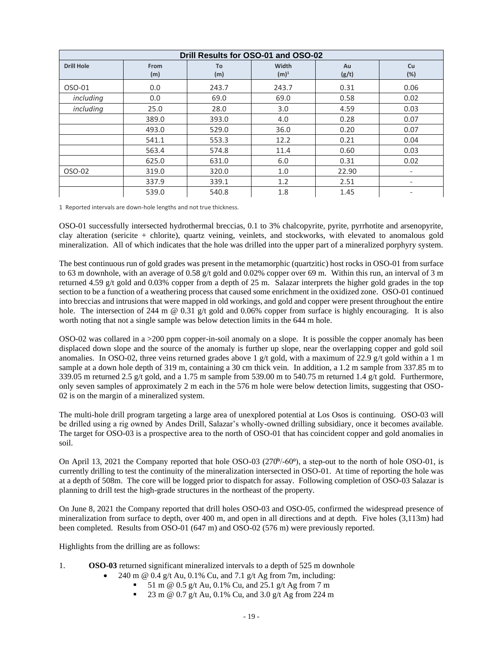| Drill Results for OSO-01 and OSO-02 |             |           |                  |             |                              |  |  |
|-------------------------------------|-------------|-----------|------------------|-------------|------------------------------|--|--|
| <b>Drill Hole</b>                   | From<br>(m) | To<br>(m) | Width<br>$(m)^1$ | Au<br>(g/t) | Cu<br>$(\%)$                 |  |  |
| OSO-01                              | 0.0         | 243.7     | 243.7            | 0.31        | 0.06                         |  |  |
| including                           | 0.0         | 69.0      | 69.0             | 0.58        | 0.02                         |  |  |
| including                           | 25.0        | 28.0      | 3.0              | 4.59        | 0.03                         |  |  |
|                                     | 389.0       | 393.0     | 4.0              | 0.28        | 0.07                         |  |  |
|                                     | 493.0       | 529.0     | 36.0             | 0.20        | 0.07                         |  |  |
|                                     | 541.1       | 553.3     | 12.2             | 0.21        | 0.04                         |  |  |
|                                     | 563.4       | 574.8     | 11.4             | 0.60        | 0.03                         |  |  |
|                                     | 625.0       | 631.0     | 6.0              | 0.31        | 0.02                         |  |  |
| OSO-02                              | 319.0       | 320.0     | 1.0              | 22.90       | -                            |  |  |
|                                     | 337.9       | 339.1     | 1.2              | 2.51        | -                            |  |  |
|                                     | 539.0       | 540.8     | 1.8              | 1.45        | $\qquad \qquad \blacksquare$ |  |  |

1 Reported intervals are down-hole lengths and not true thickness.

OSO-01 successfully intersected hydrothermal breccias, 0.1 to 3% chalcopyrite, pyrite, pyrrhotite and arsenopyrite, clay alteration (sericite + chlorite), quartz veining, veinlets, and stockworks, with elevated to anomalous gold mineralization. All of which indicates that the hole was drilled into the upper part of a mineralized porphyry system.

The best continuous run of gold grades was present in the metamorphic (quartzitic) host rocks in OSO-01 from surface to 63 m downhole, with an average of 0.58 g/t gold and 0.02% copper over 69 m. Within this run, an interval of 3 m returned 4.59 g/t gold and 0.03% copper from a depth of 25 m. Salazar interprets the higher gold grades in the top section to be a function of a weathering process that caused some enrichment in the oxidized zone. OSO-01 continued into breccias and intrusions that were mapped in old workings, and gold and copper were present throughout the entire hole. The intersection of 244 m @ 0.31 g/t gold and 0.06% copper from surface is highly encouraging. It is also worth noting that not a single sample was below detection limits in the 644 m hole.

OSO-02 was collared in a >200 ppm copper-in-soil anomaly on a slope. It is possible the copper anomaly has been displaced down slope and the source of the anomaly is further up slope, near the overlapping copper and gold soil anomalies. In OSO-02, three veins returned grades above 1 g/t gold, with a maximum of 22.9 g/t gold within a 1 m sample at a down hole depth of 319 m, containing a 30 cm thick vein. In addition, a 1.2 m sample from 337.85 m to 339.05 m returned 2.5 g/t gold, and a 1.75 m sample from 539.00 m to 540.75 m returned 1.4 g/t gold. Furthermore, only seven samples of approximately 2 m each in the 576 m hole were below detection limits, suggesting that OSO-02 is on the margin of a mineralized system.

The multi-hole drill program targeting a large area of unexplored potential at Los Osos is continuing. OSO-03 will be drilled using a rig owned by Andes Drill, Salazar's wholly-owned drilling subsidiary, once it becomes available. The target for OSO-03 is a prospective area to the north of OSO-01 that has coincident copper and gold anomalies in soil.

On April 13, 2021 the Company reported that hole OSO-03 (270<sup>0</sup>/-60<sup>o</sup>), a step-out to the north of hole OSO-01, is currently drilling to test the continuity of the mineralization intersected in OSO-01. At time of reporting the hole was at a depth of 508m. The core will be logged prior to dispatch for assay. Following completion of OSO-03 Salazar is planning to drill test the high-grade structures in the northeast of the property.

On June 8, 2021 the Company reported that drill holes OSO-03 and OSO-05, confirmed the widespread presence of mineralization from surface to depth, over 400 m, and open in all directions and at depth. Five holes (3,113m) had been completed. Results from OSO-01 (647 m) and OSO-02 (576 m) were previously reported.

Highlights from the drilling are as follows:

- 1. **OSO-03** returned significant mineralized intervals to a depth of 525 m downhole
	- 240 m @ 0.4 g/t Au, 0.1% Cu, and 7.1 g/t Ag from 7m, including:
		- 51 m @ 0.5 g/t Au, 0.1% Cu, and 25.1 g/t Ag from 7 m
		- 23 m @ 0.7 g/t Au, 0.1% Cu, and 3.0 g/t Ag from 224 m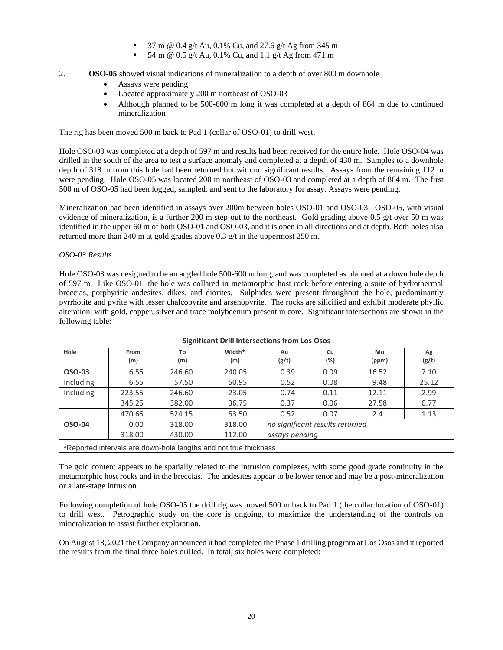- 37 m @ 0.4 g/t Au, 0.1% Cu, and 27.6 g/t Ag from 345 m
- 54 m @ 0.5 g/t Au, 0.1% Cu, and 1.1 g/t Ag from 471 m
- 2. **OSO-05** showed visual indications of mineralization to a depth of over 800 m downhole
	- Assays were pending
	- Located approximately 200 m northeast of OSO-03
	- Although planned to be 500-600 m long it was completed at a depth of 864 m due to continued mineralization

The rig has been moved 500 m back to Pad 1 (collar of OSO-01) to drill west.

Hole OSO-03 was completed at a depth of 597 m and results had been received for the entire hole. Hole OSO-04 was drilled in the south of the area to test a surface anomaly and completed at a depth of 430 m. Samples to a downhole depth of 318 m from this hole had been returned but with no significant results. Assays from the remaining 112 m were pending. Hole OSO-05 was located 200 m northeast of OSO-03 and completed at a depth of 864 m. The first 500 m of OSO-05 had been logged, sampled, and sent to the laboratory for assay. Assays were pending.

Mineralization had been identified in assays over 200m between holes OSO-01 and OSO-03. OSO-05, with visual evidence of mineralization, is a further 200 m step-out to the northeast. Gold grading above 0.5  $g/t$  over 50 m was identified in the upper 60 m of both OSO-01 and OSO-03, and it is open in all directions and at depth. Both holes also returned more than 240 m at gold grades above 0.3 g/t in the uppermost 250 m.

### *OSO-03 Results*

Hole OSO-03 was designed to be an angled hole 500-600 m long, and was completed as planned at a down hole depth of 597 m. Like OSO-01, the hole was collared in metamorphic host rock before entering a suite of hydrothermal breccias, porphyritic andesites, dikes, and diorites. Sulphides were present throughout the hole, predominantly pyrrhotite and pyrite with lesser chalcopyrite and arsenopyrite. The rocks are silicified and exhibit moderate phyllic alteration, with gold, copper, silver and trace molybdenum present in core. Significant intersections are shown in the following table:

| <b>Significant Drill Intersections from Los Osos</b> |             |           |               |                                 |           |             |             |  |
|------------------------------------------------------|-------------|-----------|---------------|---------------------------------|-----------|-------------|-------------|--|
| Hole                                                 | From<br>(m) | To<br>(m) | Width*<br>(m) | Au<br>(g/t)                     | Cu<br>(%) | Mo<br>(ppm) | Ag<br>(g/t) |  |
| <b>OSO-03</b>                                        | 6.55        | 246.60    | 240.05        | 0.39                            | 0.09      | 16.52       | 7.10        |  |
| Including                                            | 6.55        | 57.50     | 50.95         | 0.52                            | 0.08      | 9.48        | 25.12       |  |
| Including                                            | 223.55      | 246.60    | 23.05         | 0.74                            | 0.11      | 12.11       | 2.99        |  |
|                                                      | 345.25      | 382.00    | 36.75         | 0.37                            | 0.06      | 27.58       | 0.77        |  |
|                                                      | 470.65      | 524.15    | 53.50         | 0.52                            | 0.07      | 2.4         | 1.13        |  |
| OSO-04                                               | 0.00        | 318.00    | 318.00        | no significant results returned |           |             |             |  |
|                                                      | 318.00      | 430.00    | 112.00        | assays pending                  |           |             |             |  |
| $\sim$ $\sim$ $\sim$ $\sim$<br>.                     |             |           |               |                                 |           |             |             |  |

\*Reported intervals are down-hole lengths and not true thickness

The gold content appears to be spatially related to the intrusion complexes, with some good grade continuity in the metamorphic host rocks and in the breccias. The andesites appear to be lower tenor and may be a post-mineralization or a late-stage intrusion.

Following completion of hole OSO-05 the drill rig was moved 500 m back to Pad 1 (the collar location of OSO-01) to drill west. Petrographic study on the core is ongoing, to maximize the understanding of the controls on mineralization to assist further exploration.

On August 13, 2021 the Company announced it had completed the Phase 1 drilling program at Los Osos and it reported the results from the final three holes drilled. In total, six holes were completed: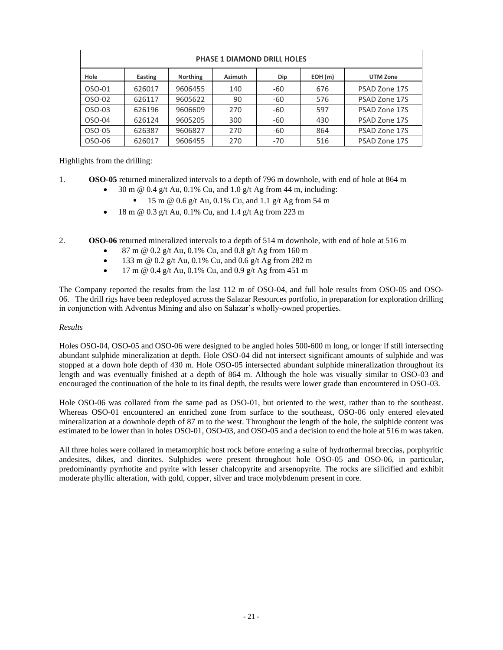| <b>PHASE 1 DIAMOND DRILL HOLES</b> |         |                 |         |       |        |                 |  |
|------------------------------------|---------|-----------------|---------|-------|--------|-----------------|--|
| Hole                               | Easting | <b>Northing</b> | Azimuth | Dip   | EOH(m) | <b>UTM Zone</b> |  |
| OSO-01                             | 626017  | 9606455         | 140     | -60   | 676    | PSAD Zone 17S   |  |
| OSO-02                             | 626117  | 9605622         | 90      | -60   | 576    | PSAD Zone 17S   |  |
| OSO-03                             | 626196  | 9606609         | 270     | -60   | 597    | PSAD Zone 17S   |  |
| OSO-04                             | 626124  | 9605205         | 300     | -60   | 430    | PSAD Zone 17S   |  |
| OSO-05                             | 626387  | 9606827         | 270     | -60   | 864    | PSAD Zone 17S   |  |
| OSO-06                             | 626017  | 9606455         | 270     | $-70$ | 516    | PSAD Zone 17S   |  |

Highlights from the drilling:

- 1. **OSO-05** returned mineralized intervals to a depth of 796 m downhole, with end of hole at 864 m
	- 30 m @ 0.4 g/t Au, 0.1% Cu, and 1.0 g/t Ag from 44 m, including:
	- $\blacksquare$  15 m @ 0.6 g/t Au, 0.1% Cu, and 1.1 g/t Ag from 54 m
	- 18 m  $@$  0.3 g/t Au, 0.1% Cu, and 1.4 g/t Ag from 223 m

2. **OSO-06** returned mineralized intervals to a depth of 514 m downhole, with end of hole at 516 m

- 87 m @ 0.2 g/t Au, 0.1% Cu, and 0.8 g/t Ag from 160 m
- 133 m @  $0.2$  g/t Au,  $0.1\%$  Cu, and  $0.6$  g/t Ag from 282 m
- 17 m @ 0.4 g/t Au, 0.1% Cu, and 0.9 g/t Ag from 451 m

The Company reported the results from the last 112 m of OSO-04, and full hole results from OSO-05 and OSO-06. The drill rigs have been redeployed across the Salazar Resources portfolio, in preparation for exploration drilling in conjunction with Adventus Mining and also on Salazar's wholly-owned properties.

# *Results*

Holes OSO-04, OSO-05 and OSO-06 were designed to be angled holes 500-600 m long, or longer if still intersecting abundant sulphide mineralization at depth. Hole OSO-04 did not intersect significant amounts of sulphide and was stopped at a down hole depth of 430 m. Hole OSO-05 intersected abundant sulphide mineralization throughout its length and was eventually finished at a depth of 864 m. Although the hole was visually similar to OSO-03 and encouraged the continuation of the hole to its final depth, the results were lower grade than encountered in OSO-03.

Hole OSO-06 was collared from the same pad as OSO-01, but oriented to the west, rather than to the southeast. Whereas OSO-01 encountered an enriched zone from surface to the southeast, OSO-06 only entered elevated mineralization at a downhole depth of 87 m to the west. Throughout the length of the hole, the sulphide content was estimated to be lower than in holes OSO-01, OSO-03, and OSO-05 and a decision to end the hole at 516 m was taken.

All three holes were collared in metamorphic host rock before entering a suite of hydrothermal breccias, porphyritic andesites, dikes, and diorites. Sulphides were present throughout hole OSO-05 and OSO-06, in particular, predominantly pyrrhotite and pyrite with lesser chalcopyrite and arsenopyrite. The rocks are silicified and exhibit moderate phyllic alteration, with gold, copper, silver and trace molybdenum present in core.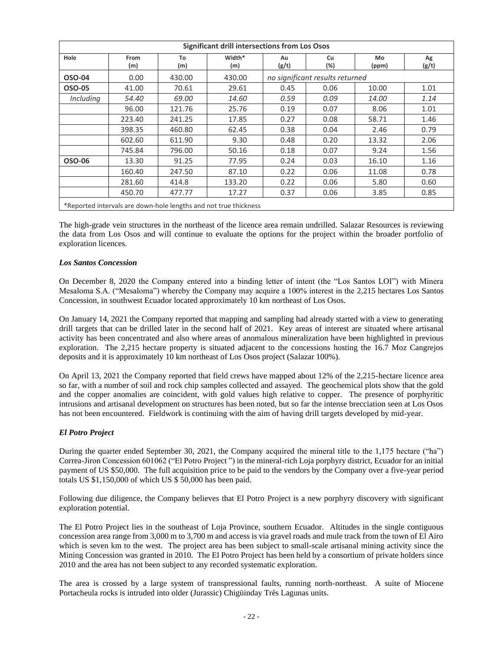| <b>Significant drill intersections from Los Osos</b>             |             |           |               |             |                                 |              |             |
|------------------------------------------------------------------|-------------|-----------|---------------|-------------|---------------------------------|--------------|-------------|
| Hole                                                             | From<br>(m) | To<br>(m) | Width*<br>(m) | Au<br>(g/t) | Cu<br>(%)                       | Mo<br>(ppm)  | Ag<br>(g/t) |
| OSO-04                                                           | 0.00        | 430.00    | 430.00        |             | no significant results returned |              |             |
| OSO-05                                                           | 41.00       | 70.61     | 29.61         | 0.45        | 0.06                            | 10.00        | 1.01        |
| Including                                                        | 54.40       | 69.00     | 14.60         | 0.59        | 0.09                            | <i>14.00</i> | 1.14        |
|                                                                  | 96.00       | 121.76    | 25.76         | 0.19        | 0.07                            | 8.06         | 1.01        |
|                                                                  | 223.40      | 241.25    | 17.85         | 0.27        | 0.08                            | 58.71        | 1.46        |
|                                                                  | 398.35      | 460.80    | 62.45         | 0.38        | 0.04                            | 2.46         | 0.79        |
|                                                                  | 602.60      | 611.90    | 9.30          | 0.48        | 0.20                            | 13.32        | 2.06        |
|                                                                  | 745.84      | 796.00    | 50.16         | 0.18        | 0.07                            | 9.24         | 1.56        |
| OSO-06                                                           | 13.30       | 91.25     | 77.95         | 0.24        | 0.03                            | 16.10        | 1.16        |
|                                                                  | 160.40      | 247.50    | 87.10         | 0.22        | 0.06                            | 11.08        | 0.78        |
|                                                                  | 281.60      | 414.8     | 133.20        | 0.22        | 0.06                            | 5.80         | 0.60        |
|                                                                  | 450.70      | 477.77    | 17.27         | 0.37        | 0.06                            | 3.85         | 0.85        |
| *Reported intervals are down-hole lengths and not true thickness |             |           |               |             |                                 |              |             |

The high-grade vein structures in the northeast of the licence area remain undrilled. Salazar Resources is reviewing the data from Los Osos and will continue to evaluate the options for the project within the broader portfolio of exploration licences.

### *Los Santos Concession*

On December 8, 2020 the Company entered into a binding letter of intent (the "Los Santos LOI") with Minera Mesaloma S.A. ("Mesaloma") whereby the Company may acquire a 100% interest in the 2,215 hectares Los Santos Concession, in southwest Ecuador located approximately 10 km northeast of Los Osos.

On January 14, 2021 the Company reported that mapping and sampling had already started with a view to generating drill targets that can be drilled later in the second half of 2021. Key areas of interest are situated where artisanal activity has been concentrated and also where areas of anomalous mineralization have been highlighted in previous exploration. The 2,215 hectare property is situated adjacent to the concessions hosting the 16.7 Moz Cangrejos deposits and it is approximately 10 km northeast of Los Osos project (Salazar 100%).

On April 13, 2021 the Company reported that field crews have mapped about 12% of the 2,215-hectare licence area so far, with a number of soil and rock chip samples collected and assayed. The geochemical plots show that the gold and the copper anomalies are coincident, with gold values high relative to copper. The presence of porphyritic intrusions and artisanal development on structures has been noted, but so far the intense brecciation seen at Los Osos has not been encountered. Fieldwork is continuing with the aim of having drill targets developed by mid-year.

# *El Potro Project*

During the quarter ended September 30, 2021, the Company acquired the mineral title to the 1,175 hectare ("ha") Correa-Jiron Concession 601062 ("El Potro Project ") in the mineral-rich Loja porphyry district, Ecuador for an initial payment of US \$50,000. The full acquisition price to be paid to the vendors by the Company over a five-year period totals US \$1,150,000 of which US \$ 50,000 has been paid.

Following due diligence, the Company believes that El Potro Project is a new porphyry discovery with significant exploration potential.

The El Potro Project lies in the southeast of Loja Province, southern Ecuador. Altitudes in the single contiguous concession area range from 3,000 m to 3,700 m and access is via gravel roads and mule track from the town of El Airo which is seven km to the west. The project area has been subject to small-scale artisanal mining activity since the Mining Concession was granted in 2010. The El Potro Project has been held by a consortium of private holders since 2010 and the area has not been subject to any recorded systematic exploration.

The area is crossed by a large system of transpressional faults, running north-northeast. A suite of Miocene Portacheula rocks is intruded into older (Jurassic) Chigüinday Très Lagunas units.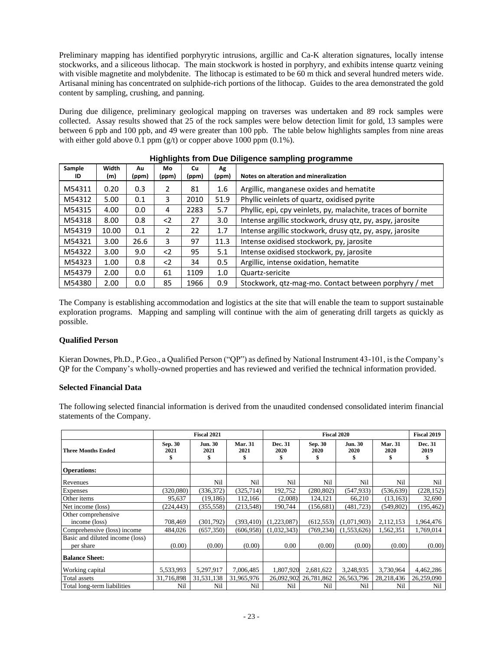Preliminary mapping has identified porphyrytic intrusions, argillic and Ca-K alteration signatures, locally intense stockworks, and a siliceous lithocap. The main stockwork is hosted in porphyry, and exhibits intense quartz veining with visible magnetite and molybdenite. The lithocap is estimated to be 60 m thick and several hundred meters wide. Artisanal mining has concentrated on sulphide-rich portions of the lithocap. Guides to the area demonstrated the gold content by sampling, crushing, and panning.

During due diligence, preliminary geological mapping on traverses was undertaken and 89 rock samples were collected. Assay results showed that 25 of the rock samples were below detection limit for gold, 13 samples were between 6 ppb and 100 ppb, and 49 were greater than 100 ppb. The table below highlights samples from nine areas with either gold above 0.1 ppm  $(g/t)$  or copper above 1000 ppm (0.1%).

| Sample<br>ID | Width<br>(m) | Au<br>(ppm) | Mo<br>(ppm)   | Cu<br>(ppm) | Αg<br>(ppm) | Notes on alteration and mineralization                       |
|--------------|--------------|-------------|---------------|-------------|-------------|--------------------------------------------------------------|
| M54311       | 0.20         | 0.3         | 2             | 81          | 1.6         | Argillic, manganese oxides and hematite                      |
| M54312       | 5.00         | 0.1         | 3             | 2010        | 51.9        | Phyllic veinlets of quartz, oxidised pyrite                  |
| M54315       | 4.00         | 0.0         | 4             | 2283        | 5.7         | Phyllic, epi, cpy veinlets, py, malachite, traces of bornite |
| M54318       | 8.00         | 0.8         | $\langle$ 2   | 27          | 3.0         | Intense argillic stockwork, drusy qtz, py, aspy, jarosite    |
| M54319       | 10.00        | 0.1         | $\mathcal{P}$ | 22          | 1.7         | Intense argillic stockwork, drusy qtz, py, aspy, jarosite    |
| M54321       | 3.00         | 26.6        | 3             | 97          | 11.3        | Intense oxidised stockwork, py, jarosite                     |
| M54322       | 3.00         | 9.0         | $2$           | 95          | 5.1         | Intense oxidised stockwork, py, jarosite                     |
| M54323       | 1.00         | 0.8         | $2$           | 34          | 0.5         | Argillic, intense oxidation, hematite                        |
| M54379       | 2.00         | 0.0         | 61            | 1109        | 1.0         | Quartz-sericite                                              |
| M54380       | 2.00         | 0.0         | 85            | 1966        | 0.9         | Stockwork, qtz-mag-mo. Contact between porphyry / met        |

# **Highlights from Due Diligence sampling programme**

The Company is establishing accommodation and logistics at the site that will enable the team to support sustainable exploration programs. Mapping and sampling will continue with the aim of generating drill targets as quickly as possible.

# **Qualified Person**

Kieran Downes, Ph.D., P.Geo., a Qualified Person ("QP") as defined by National Instrument 43-101, is the Company's QP for the Company's wholly-owned properties and has reviewed and verified the technical information provided.

# **Selected Financial Data**

The following selected financial information is derived from the unaudited condensed consolidated interim financial statements of the Company.

|                                 | <b>Fiscal 2021</b><br><b>Fiscal 2020</b> |                        |                             |                      | <b>Fiscal 2019</b>    |                        |                              |                      |
|---------------------------------|------------------------------------------|------------------------|-----------------------------|----------------------|-----------------------|------------------------|------------------------------|----------------------|
| <b>Three Months Ended</b>       | Sep. 30<br>2021<br>S                     | <b>Jun. 30</b><br>2021 | <b>Mar. 31</b><br>2021<br>S | Dec. 31<br>2020<br>ж | Sep. 30<br>2020<br>\$ | <b>Jun. 30</b><br>2020 | <b>Mar. 31</b><br>2020<br>\$ | Dec. 31<br>2019<br>S |
| <b>Operations:</b>              |                                          |                        |                             |                      |                       |                        |                              |                      |
| Revenues                        |                                          | Nil                    | Nil                         | Nil                  | Nil                   | Nil                    | Nil                          | Nil                  |
| Expenses                        | (320,080)                                | (336,372)              | (325,714)                   | 192,752              | (280, 802)            | (547,933)              | (536, 639)                   | (228, 152)           |
| Other items                     | 95,637                                   | (19, 186)              | 112,166                     | (2,008)              | 124,121               | 66,210                 | (13, 163)                    | 32,690               |
| Net income (loss)               | (224, 443)                               | (355, 558)             | (213, 548)                  | 190,744              | (156, 681)            | (481, 723)             | (549, 802)                   | (195, 462)           |
| Other comprehensive             |                                          |                        |                             |                      |                       |                        |                              |                      |
| income (loss)                   | 708,469                                  | (301,792)              | (393, 410)                  | (1,223,087)          | (612, 553)            | (1,071,903)            | 2,112,153                    | 1,964,476            |
| Comprehensive (loss) income     | 484,026                                  | (657, 350)             | (606, 958)                  | (1,032,343)          | (769, 234)            | (1, 553, 626)          | 1,562,351                    | 1,769,014            |
| Basic and diluted income (loss) |                                          |                        |                             |                      |                       |                        |                              |                      |
| per share                       | (0.00)                                   | (0.00)                 | (0.00)                      | 0.00                 | (0.00)                | (0.00)                 | (0.00)                       | (0.00)               |
| <b>Balance Sheet:</b>           |                                          |                        |                             |                      |                       |                        |                              |                      |
| Working capital                 | 5,533,993                                | 5,297,917              | 7,006,485                   | 1,807,920            | 2,681,622             | 3,248,935              | 3,730,964                    | 4,462,286            |
| Total assets                    | 31,716,898                               | 31,531,138             | 31,965,976                  | 26,092,902           | 26,781,862            | 26,563,796             | 28,218,436                   | 26,259,090           |
| Total long-term liabilities     | Nil                                      | Nil                    | Nil                         | Nil                  | Nil                   | Nil                    | Nil                          | Nil                  |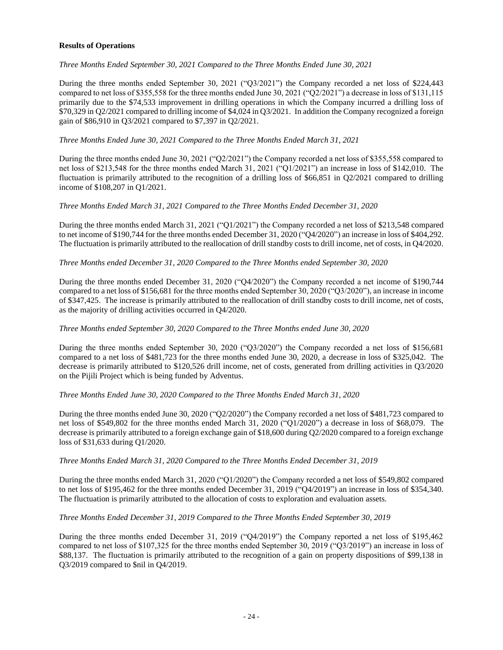# **Results of Operations**

# *Three Months Ended September 30, 2021 Compared to the Three Months Ended June 30, 2021*

During the three months ended September 30, 2021 ("Q3/2021") the Company recorded a net loss of \$224,443 compared to net loss of \$355,558 for the three months ended June 30, 2021 ("Q2/2021") a decrease in loss of \$131,115 primarily due to the \$74,533 improvement in drilling operations in which the Company incurred a drilling loss of \$70,329 in Q2/2021 compared to drilling income of \$4,024 in Q3/2021. In addition the Company recognized a foreign gain of \$86,910 in Q3/2021 compared to \$7,397 in Q2/2021.

# *Three Months Ended June 30, 2021 Compared to the Three Months Ended March 31, 2021*

During the three months ended June 30, 2021 ("Q2/2021") the Company recorded a net loss of \$355,558 compared to net loss of \$213,548 for the three months ended March 31, 2021 ("Q1/2021") an increase in loss of \$142,010. The fluctuation is primarily attributed to the recognition of a drilling loss of \$66,851 in Q2/2021 compared to drilling income of \$108,207 in Q1/2021.

### *Three Months Ended March 31, 2021 Compared to the Three Months Ended December 31, 2020*

During the three months ended March 31, 2021 ("Q1/2021") the Company recorded a net loss of \$213,548 compared to net income of \$190,744 for the three months ended December 31, 2020 ("Q4/2020") an increase in loss of \$404,292. The fluctuation is primarily attributed to the reallocation of drill standby costs to drill income, net of costs, in Q4/2020.

### *Three Months ended December 31, 2020 Compared to the Three Months ended September 30, 2020*

During the three months ended December 31, 2020 ("Q4/2020") the Company recorded a net income of \$190,744 compared to a net loss of \$156,681 for the three months ended September 30, 2020 ("Q3/2020"), an increase in income of \$347,425. The increase is primarily attributed to the reallocation of drill standby costs to drill income, net of costs, as the majority of drilling activities occurred in Q4/2020.

#### *Three Months ended September 30, 2020 Compared to the Three Months ended June 30, 2020*

During the three months ended September 30, 2020 ("Q3/2020") the Company recorded a net loss of \$156,681 compared to a net loss of \$481,723 for the three months ended June 30, 2020, a decrease in loss of \$325,042. The decrease is primarily attributed to \$120,526 drill income, net of costs, generated from drilling activities in Q3/2020 on the Pijili Project which is being funded by Adventus.

# *Three Months Ended June 30, 2020 Compared to the Three Months Ended March 31, 2020*

During the three months ended June 30, 2020 ("Q2/2020") the Company recorded a net loss of \$481,723 compared to net loss of \$549,802 for the three months ended March 31, 2020 ("Q1/2020") a decrease in loss of \$68,079. The decrease is primarily attributed to a foreign exchange gain of \$18,600 during Q2/2020 compared to a foreign exchange loss of \$31,633 during Q1/2020.

#### *Three Months Ended March 31, 2020 Compared to the Three Months Ended December 31, 2019*

During the three months ended March 31, 2020 ("Q1/2020") the Company recorded a net loss of \$549,802 compared to net loss of \$195,462 for the three months ended December 31, 2019 ("Q4/2019") an increase in loss of \$354,340. The fluctuation is primarily attributed to the allocation of costs to exploration and evaluation assets.

# *Three Months Ended December 31, 2019 Compared to the Three Months Ended September 30, 2019*

During the three months ended December 31, 2019 ("Q4/2019") the Company reported a net loss of \$195,462 compared to net loss of \$107,325 for the three months ended September 30, 2019 ("Q3/2019") an increase in loss of \$88,137. The fluctuation is primarily attributed to the recognition of a gain on property dispositions of \$99,138 in Q3/2019 compared to \$nil in Q4/2019.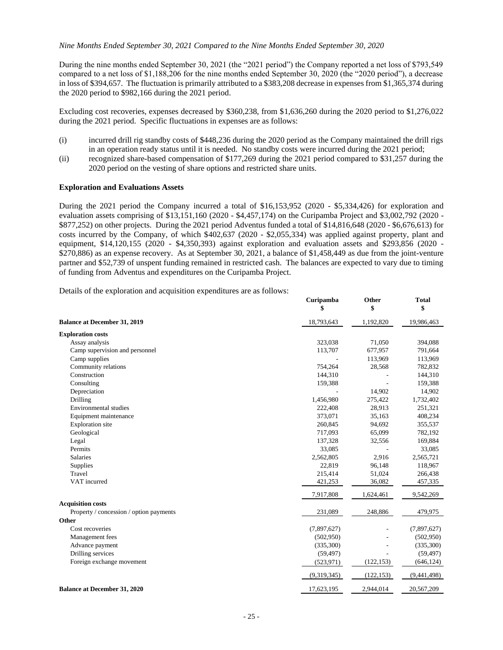#### *Nine Months Ended September 30, 2021 Compared to the Nine Months Ended September 30, 2020*

During the nine months ended September 30, 2021 (the "2021 period") the Company reported a net loss of \$793,549 compared to a net loss of \$1,188,206 for the nine months ended September 30, 2020 (the "2020 period"), a decrease in loss of \$394,657. The fluctuation is primarily attributed to a \$383,208 decrease in expenses from \$1,365,374 during the 2020 period to \$982,166 during the 2021 period.

Excluding cost recoveries, expenses decreased by \$360,238, from \$1,636,260 during the 2020 period to \$1,276,022 during the 2021 period. Specific fluctuations in expenses are as follows:

- (i) incurred drill rig standby costs of \$448,236 during the 2020 period as the Company maintained the drill rigs in an operation ready status until it is needed. No standby costs were incurred during the 2021 period;
- (ii) recognized share-based compensation of \$177,269 during the 2021 period compared to \$31,257 during the 2020 period on the vesting of share options and restricted share units.

#### **Exploration and Evaluations Assets**

During the 2021 period the Company incurred a total of \$16,153,952 (2020 - \$5,334,426) for exploration and evaluation assets comprising of \$13,151,160 (2020 - \$4,457,174) on the Curipamba Project and \$3,002,792 (2020 - \$877,252) on other projects. During the 2021 period Adventus funded a total of \$14,816,648 (2020 - \$6,676,613) for costs incurred by the Company, of which \$402,637 (2020 - \$2,055,334) was applied against property, plant and equipment, \$14,120,155 (2020 - \$4,350,393) against exploration and evaluation assets and \$293,856 (2020 - \$270,886) as an expense recovery. As at September 30, 2021, a balance of \$1,458,449 as due from the joint-venture partner and \$52,739 of unspent funding remained in restricted cash. The balances are expected to vary due to timing of funding from Adventus and expenditures on the Curipamba Project.

Details of the exploration and acquisition expenditures are as follows:

|                                         | Curipamba<br>\$ | Other<br>\$ | <b>Total</b><br>\$ |
|-----------------------------------------|-----------------|-------------|--------------------|
| <b>Balance at December 31, 2019</b>     | 18,793,643      | 1,192,820   | 19,986,463         |
| <b>Exploration costs</b>                |                 |             |                    |
| Assay analysis                          | 323,038         | 71,050      | 394,088            |
| Camp supervision and personnel          | 113,707         | 677,957     | 791,664            |
| Camp supplies                           |                 | 113,969     | 113,969            |
| Community relations                     | 754,264         | 28,568      | 782,832            |
| Construction                            | 144,310         |             | 144,310            |
| Consulting                              | 159,388         |             | 159,388            |
| Depreciation                            |                 | 14,902      | 14,902             |
| Drilling                                | 1,456,980       | 275,422     | 1,732,402          |
| Environmental studies                   | 222,408         | 28,913      | 251,321            |
| Equipment maintenance                   | 373,071         | 35,163      | 408,234            |
| <b>Exploration</b> site                 | 260,845         | 94,692      | 355,537            |
| Geological                              | 717,093         | 65,099      | 782,192            |
| Legal                                   | 137,328         | 32,556      | 169,884            |
| Permits                                 | 33,085          |             | 33,085             |
| <b>Salaries</b>                         | 2,562,805       | 2,916       | 2,565,721          |
| Supplies                                | 22,819          | 96,148      | 118,967            |
| Travel                                  | 215,414         | 51,024      | 266,438            |
| VAT incurred                            | 421,253         | 36,082      | 457,335            |
|                                         | 7,917,808       | 1,624,461   | 9,542,269          |
| <b>Acquisition costs</b>                |                 |             |                    |
| Property / concession / option payments | 231,089         | 248,886     | 479,975            |
| Other                                   |                 |             |                    |
| Cost recoveries                         | (7,897,627)     |             | (7,897,627)        |
| Management fees                         | (502, 950)      |             | (502,950)          |
| Advance payment                         | (335,300)       |             | (335,300)          |
| Drilling services                       | (59, 497)       |             | (59, 497)          |
| Foreign exchange movement               | (523, 971)      | (122, 153)  | (646, 124)         |
|                                         | (9,319,345)     | (122, 153)  | (9,441,498)        |
| <b>Balance at December 31, 2020</b>     | 17,623,195      | 2,944,014   | 20,567,209         |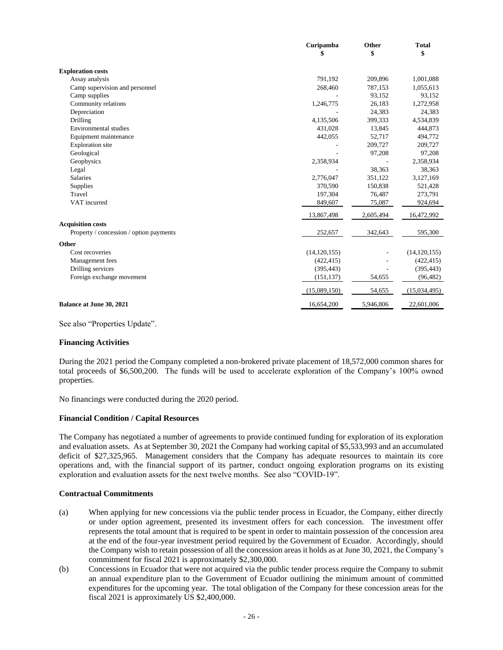|                                         | Curipamba      | Other     | <b>Total</b>   |
|-----------------------------------------|----------------|-----------|----------------|
|                                         | \$             | \$        | \$             |
| <b>Exploration costs</b>                |                |           |                |
| Assay analysis                          | 791,192        | 209,896   | 1,001,088      |
| Camp supervision and personnel          | 268,460        | 787,153   | 1,055,613      |
| Camp supplies                           |                | 93,152    | 93,152         |
| Community relations                     | 1,246,775      | 26,183    | 1,272,958      |
| Depreciation                            |                | 24,383    | 24,383         |
| Drilling                                | 4,135,506      | 399,333   | 4,534,839      |
| Environmental studies                   | 431,028        | 13,845    | 444,873        |
| Equipment maintenance                   | 442,055        | 52,717    | 494,772        |
| <b>Exploration</b> site                 |                | 209,727   | 209,727        |
| Geological                              |                | 97,208    | 97,208         |
| Geophysics                              | 2,358,934      |           | 2,358,934      |
| Legal                                   |                | 38,363    | 38,363         |
| <b>Salaries</b>                         | 2,776,047      | 351,122   | 3,127,169      |
| Supplies                                | 370,590        | 150,838   | 521,428        |
| Travel                                  | 197,304        | 76,487    | 273,791        |
| VAT incurred                            | 849,607        | 75,087    | 924,694        |
|                                         | 13,867,498     | 2,605,494 | 16,472,992     |
| <b>Acquisition costs</b>                |                |           |                |
| Property / concession / option payments | 252,657        | 342,643   | 595,300        |
| Other                                   |                |           |                |
| Cost recoveries                         | (14, 120, 155) |           | (14, 120, 155) |
| Management fees                         | (422, 415)     |           | (422, 415)     |
| Drilling services                       | (395, 443)     |           | (395, 443)     |
| Foreign exchange movement               | (151, 137)     | 54,655    | (96, 482)      |
|                                         | (15,089,150)   | 54,655    | (15,034,495)   |
| <b>Balance at June 30, 2021</b>         | 16,654,200     | 5,946,806 | 22,601,006     |

See also "Properties Update".

#### **Financing Activities**

During the 2021 period the Company completed a non-brokered private placement of 18,572,000 common shares for total proceeds of \$6,500,200. The funds will be used to accelerate exploration of the Company's 100% owned properties.

No financings were conducted during the 2020 period.

#### **Financial Condition / Capital Resources**

The Company has negotiated a number of agreements to provide continued funding for exploration of its exploration and evaluation assets. As at September 30, 2021 the Company had working capital of \$5,533,993 and an accumulated deficit of \$27,325,965. Management considers that the Company has adequate resources to maintain its core operations and, with the financial support of its partner, conduct ongoing exploration programs on its existing exploration and evaluation assets for the next twelve months. See also "COVID-19".

#### **Contractual Commitments**

- (a) When applying for new concessions via the public tender process in Ecuador, the Company, either directly or under option agreement, presented its investment offers for each concession. The investment offer represents the total amount that is required to be spent in order to maintain possession of the concession area at the end of the four-year investment period required by the Government of Ecuador. Accordingly, should the Company wish to retain possession of all the concession areas it holds as at June 30, 2021, the Company's commitment for fiscal 2021 is approximately \$2,300,000.
- (b) Concessions in Ecuador that were not acquired via the public tender process require the Company to submit an annual expenditure plan to the Government of Ecuador outlining the minimum amount of committed expenditures for the upcoming year. The total obligation of the Company for these concession areas for the fiscal 2021 is approximately US \$2,400,000.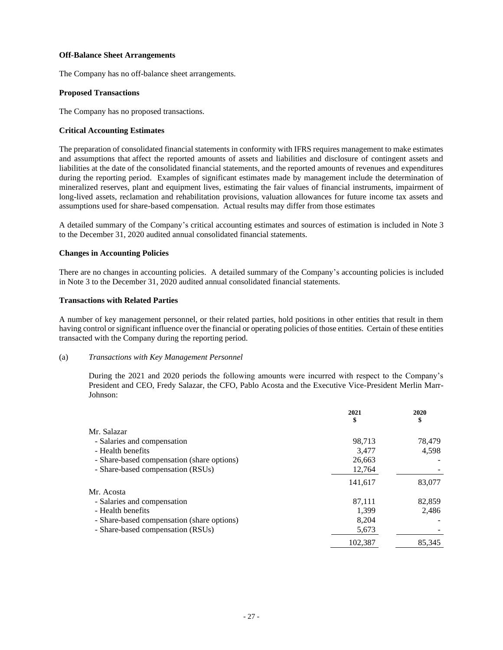### **Off-Balance Sheet Arrangements**

The Company has no off-balance sheet arrangements.

### **Proposed Transactions**

The Company has no proposed transactions.

### **Critical Accounting Estimates**

The preparation of consolidated financial statements in conformity with IFRS requires management to make estimates and assumptions that affect the reported amounts of assets and liabilities and disclosure of contingent assets and liabilities at the date of the consolidated financial statements, and the reported amounts of revenues and expenditures during the reporting period. Examples of significant estimates made by management include the determination of mineralized reserves, plant and equipment lives, estimating the fair values of financial instruments, impairment of long-lived assets, reclamation and rehabilitation provisions, valuation allowances for future income tax assets and assumptions used for share-based compensation. Actual results may differ from those estimates

A detailed summary of the Company's critical accounting estimates and sources of estimation is included in Note 3 to the December 31, 2020 audited annual consolidated financial statements.

### **Changes in Accounting Policies**

There are no changes in accounting policies. A detailed summary of the Company's accounting policies is included in Note 3 to the December 31, 2020 audited annual consolidated financial statements.

#### **Transactions with Related Parties**

A number of key management personnel, or their related parties, hold positions in other entities that result in them having control or significant influence over the financial or operating policies of those entities. Certain of these entities transacted with the Company during the reporting period.

#### (a) *Transactions with Key Management Personnel*

During the 2021 and 2020 periods the following amounts were incurred with respect to the Company's President and CEO, Fredy Salazar, the CFO, Pablo Acosta and the Executive Vice-President Merlin Marr-Johnson:

|                                            | 2021<br>\$ | 2020<br>\$ |
|--------------------------------------------|------------|------------|
| Mr. Salazar                                |            |            |
| - Salaries and compensation                | 98,713     | 78,479     |
| - Health benefits                          | 3.477      | 4,598      |
| - Share-based compensation (share options) | 26,663     |            |
| - Share-based compensation (RSUs)          | 12,764     |            |
|                                            | 141,617    | 83,077     |
| Mr. Acosta                                 |            |            |
| - Salaries and compensation                | 87,111     | 82,859     |
| - Health benefits                          | 1,399      | 2,486      |
| - Share-based compensation (share options) | 8.204      |            |
| - Share-based compensation (RSUs)          | 5,673      |            |
|                                            | 102.387    | 85,345     |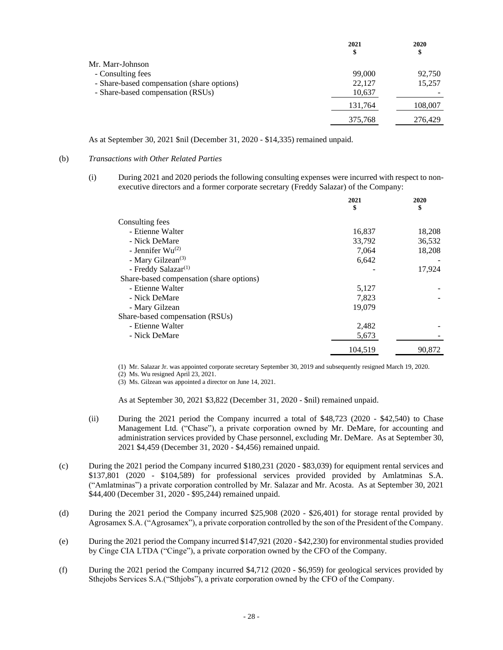|                                            | 2021<br>\$ | 2020<br>\$ |
|--------------------------------------------|------------|------------|
| Mr. Marr-Johnson                           |            |            |
| - Consulting fees                          | 99,000     | 92,750     |
| - Share-based compensation (share options) | 22,127     | 15,257     |
| - Share-based compensation (RSUs)          | 10,637     |            |
|                                            | 131,764    | 108,007    |
|                                            | 375,768    | 276,429    |

As at September 30, 2021 \$nil (December 31, 2020 - \$14,335) remained unpaid.

### (b) *Transactions with Other Related Parties*

(i) During 2021 and 2020 periods the following consulting expenses were incurred with respect to nonexecutive directors and a former corporate secretary (Freddy Salazar) of the Company:

|                                          | 2021<br>\$ | 2020<br>\$ |
|------------------------------------------|------------|------------|
| Consulting fees                          |            |            |
| - Etienne Walter                         | 16,837     | 18,208     |
| - Nick DeMare                            | 33,792     | 36,532     |
| - Jennifer $Wu^{(2)}$                    | 7,064      | 18,208     |
| - Mary Gilzean <sup>(3)</sup>            | 6,642      |            |
| - Freddy Salazar <sup>(1)</sup>          |            | 17,924     |
| Share-based compensation (share options) |            |            |
| - Etienne Walter                         | 5,127      |            |
| - Nick DeMare                            | 7,823      |            |
| - Mary Gilzean                           | 19,079     |            |
| Share-based compensation (RSUs)          |            |            |
| - Etienne Walter                         | 2,482      |            |
| - Nick DeMare                            | 5,673      |            |
|                                          | 104.519    | 90.872     |

(1) Mr. Salazar Jr. was appointed corporate secretary September 30, 2019 and subsequently resigned March 19, 2020.

(2) Ms. Wu resigned April 23, 2021.

(3) Ms. Gilzean was appointed a director on June 14, 2021.

As at September 30, 2021 \$3,822 (December 31, 2020 - \$nil) remained unpaid.

- (ii) During the 2021 period the Company incurred a total of \$48,723 (2020 \$42,540) to Chase Management Ltd. ("Chase"), a private corporation owned by Mr. DeMare, for accounting and administration services provided by Chase personnel, excluding Mr. DeMare. As at September 30, 2021 \$4,459 (December 31, 2020 - \$4,456) remained unpaid.
- (c) During the 2021 period the Company incurred \$180,231 (2020 \$83,039) for equipment rental services and \$137,801 (2020 - \$104,589) for professional services provided provided by Amlatminas S.A. ("Amlatminas") a private corporation controlled by Mr. Salazar and Mr. Acosta. As at September 30, 2021 \$44,400 (December 31, 2020 - \$95,244) remained unpaid.
- (d) During the 2021 period the Company incurred \$25,908 (2020 \$26,401) for storage rental provided by Agrosamex S.A. ("Agrosamex"), a private corporation controlled by the son of the President of the Company.
- (e) During the 2021 period the Company incurred \$147,921 (2020 \$42,230) for environmental studies provided by Cinge CIA LTDA ("Cinge"), a private corporation owned by the CFO of the Company.
- (f) During the 2021 period the Company incurred \$4,712 (2020 \$6,959) for geological services provided by Sthejobs Services S.A.("Sthjobs"), a private corporation owned by the CFO of the Company.